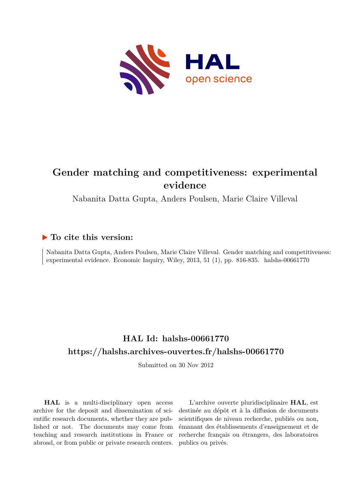

# **Gender matching and competitiveness: experimental evidence**

Nabanita Datta Gupta, Anders Poulsen, Marie Claire Villeval

## **To cite this version:**

Nabanita Datta Gupta, Anders Poulsen, Marie Claire Villeval. Gender matching and competitiveness: experimental evidence. Economic Inquiry, Wiley, 2013, 51 (1), pp. 816-835. halshs-00661770

# **HAL Id: halshs-00661770 <https://halshs.archives-ouvertes.fr/halshs-00661770>**

Submitted on 30 Nov 2012

**HAL** is a multi-disciplinary open access archive for the deposit and dissemination of scientific research documents, whether they are published or not. The documents may come from teaching and research institutions in France or abroad, or from public or private research centers.

L'archive ouverte pluridisciplinaire **HAL**, est destinée au dépôt et à la diffusion de documents scientifiques de niveau recherche, publiés ou non, émanant des établissements d'enseignement et de recherche français ou étrangers, des laboratoires publics ou privés.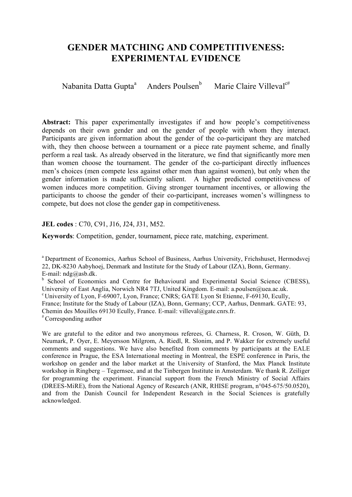## **GENDER MATCHING AND COMPETITIVENESS: EXPERIMENTAL EVIDENCE**

Nabanita Datta Gupta<sup>a</sup> Anders Poulsen<sup>b</sup> Marie Claire Villeval $c^{\#}$ 

Abstract: This paper experimentally investigates if and how people's competitiveness depends on their own gender and on the gender of people with whom they interact. Participants are given information about the gender of the co-participant they are matched with, they then choose between a tournament or a piece rate payment scheme, and finally perform a real task. As already observed in the literature, we find that significantly more men than women choose the tournament. The gender of the co-participant directly influences men's choices (men compete less against other men than against women), but only when the gender information is made sufficiently salient. A higher predicted competitiveness of women induces more competition. Giving stronger tournament incentives, or allowing the participants to choose the gender of their co-participant, increases women's willingness to compete, but does not close the gender gap in competitiveness.

**JEL codes** : C70, C91, J16, J24, J31, M52.

**Keywords**: Competition, gender, tournament, piece rate, matching, experiment.

a Department of Economics, Aarhus School of Business, Aarhus University, Frichshuset, Hermodsvej 22, DK-8230 Aabyhoej, Denmark and Institute for the Study of Labour (IZA), Bonn, Germany. E-mail:  $ndg@asb.dk$ .

<sup>b</sup> School of Economics and Centre for Behavioural and Experimental Social Science (CBESS), University of East Anglia, Norwich NR4 7TJ, United Kingdom. E-mail: a.poulsen@uea.ac.uk.<br><sup>c</sup> University of Lyon, F-69007, Lyon, France; CNRS; GATE Lyon St Etienne, F-69130, Ecully, France; Institute for the Study of Labour (IZA), Bonn, Germany; CCP, Aarhus, Denmark. GATE: 93, Chemin des Mouilles 69130 Ecully, France. E-mail: villeval@gate.cnrs.fr. # Corresponding author

We are grateful to the editor and two anonymous referees, G. Charness, R. Croson, W. Güth, D. Neumark, P. Oyer, E. Meyersson Milgrom, A. Riedl, R. Slonim, and P. Wakker for extremely useful comments and suggestions. We have also benefited from comments by participants at the EALE conference in Prague, the ESA International meeting in Montreal, the ESPE conference in Paris, the workshop on gender and the labor market at the University of Stanford, the Max Planck Institute workshop in Ringberg – Tegernsee, and at the Tinbergen Institute in Amsterdam. We thank R. Zeiliger for programming the experiment. Financial support from the French Ministry of Social Affairs (DREES-MiRE), from the National Agency of Research (ANR, RHISE program, n°045-675/50.0520), and from the Danish Council for Independent Research in the Social Sciences is gratefully acknowledged.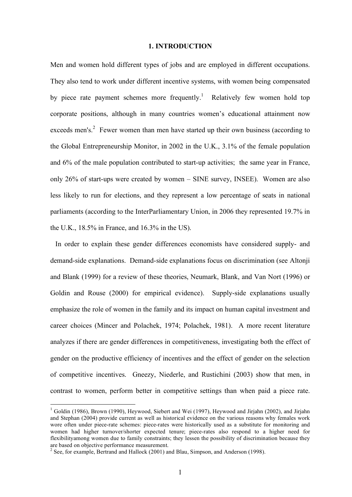#### **1. INTRODUCTION**

Men and women hold different types of jobs and are employed in different occupations. They also tend to work under different incentive systems, with women being compensated by piece rate payment schemes more frequently.<sup>1</sup> Relatively few women hold top corporate positions, although in many countries women's educational attainment now exceeds men's.<sup>2</sup> Fewer women than men have started up their own business (according to the Global Entrepreneurship Monitor, in 2002 in the U.K., 3.1% of the female population and 6% of the male population contributed to start-up activities; the same year in France, only 26% of start-ups were created by women – SINE survey, INSEE). Women are also less likely to run for elections, and they represent a low percentage of seats in national parliaments (according to the InterParliamentary Union, in 2006 they represented 19.7% in the U.K., 18.5% in France, and 16.3% in the US).

 In order to explain these gender differences economists have considered supply- and demand-side explanations. Demand-side explanations focus on discrimination (see Altonji and Blank (1999) for a review of these theories, Neumark, Blank, and Van Nort (1996) or Goldin and Rouse (2000) for empirical evidence). Supply-side explanations usually emphasize the role of women in the family and its impact on human capital investment and career choices (Mincer and Polachek, 1974; Polachek, 1981). A more recent literature analyzes if there are gender differences in competitiveness, investigating both the effect of gender on the productive efficiency of incentives and the effect of gender on the selection of competitive incentives. Gneezy, Niederle, and Rustichini (2003) show that men, in contrast to women, perform better in competitive settings than when paid a piece rate.

 $\frac{1}{1}$ <sup>1</sup> Goldin (1986), Brown (1990), Heywood, Siebert and Wei (1997), Heywood and Jirjahn (2002), and Jirjahn and Stephan (2004) provide current as well as historical evidence on the various reasons why females work wore often under piece-rate schemes: piece-rates were historically used as a substitute for monitoring and women had higher turnover/shorter expected tenure; piece-rates also respond to a higher need for flexibilityamong women due to family constraints; they lessen the possibility of discrimination because they are based on objective performance measurement.

 $2^2$  See, for example, Bertrand and Hallock (2001) and Blau, Simpson, and Anderson (1998).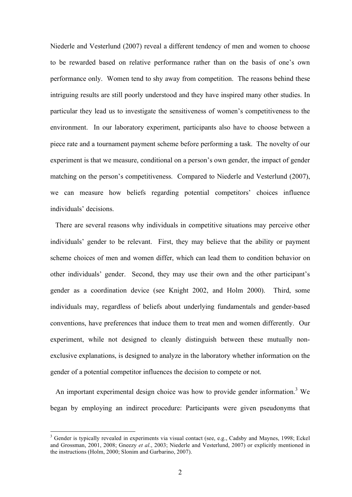Niederle and Vesterlund (2007) reveal a different tendency of men and women to choose to be rewarded based on relative performance rather than on the basis of one's own performance only. Women tend to shy away from competition. The reasons behind these intriguing results are still poorly understood and they have inspired many other studies. In particular they lead us to investigate the sensitiveness of women's competitiveness to the environment. In our laboratory experiment, participants also have to choose between a piece rate and a tournament payment scheme before performing a task. The novelty of our experiment is that we measure, conditional on a person's own gender, the impact of gender matching on the person's competitiveness. Compared to Niederle and Vesterlund (2007), we can measure how beliefs regarding potential competitors' choices influence individuals' decisions.

 There are several reasons why individuals in competitive situations may perceive other individuals' gender to be relevant. First, they may believe that the ability or payment scheme choices of men and women differ, which can lead them to condition behavior on other individuals' gender. Second, they may use their own and the other participant's gender as a coordination device (see Knight 2002, and Holm 2000). Third, some individuals may, regardless of beliefs about underlying fundamentals and gender-based conventions, have preferences that induce them to treat men and women differently. Our experiment, while not designed to cleanly distinguish between these mutually nonexclusive explanations, is designed to analyze in the laboratory whether information on the gender of a potential competitor influences the decision to compete or not.

An important experimental design choice was how to provide gender information.<sup>3</sup> We began by employing an indirect procedure: Participants were given pseudonyms that

 $\frac{1}{3}$  $3$  Gender is typically revealed in experiments via visual contact (see, e.g., Cadsby and Maynes, 1998; Eckel and Grossman, 2001, 2008; Gneezy *et al*., 2003; Niederle and Vesterlund, 2007) or explicitly mentioned in the instructions (Holm, 2000; Slonim and Garbarino, 2007).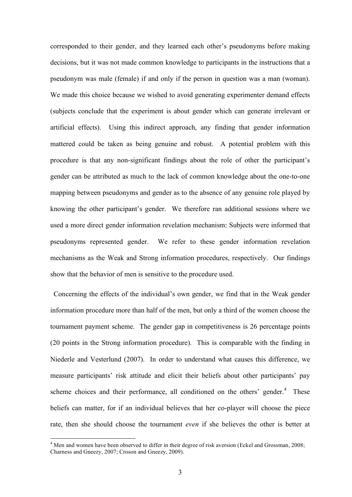corresponded to their gender, and they learned each other's pseudonyms before making decisions, but it was not made common knowledge to participants in the instructions that a pseudonym was male (female) if and only if the person in question was a man (woman). We made this choice because we wished to avoid generating experimenter demand effects (subjects conclude that the experiment is about gender which can generate irrelevant or artificial effects). Using this indirect approach, any finding that gender information mattered could be taken as being genuine and robust. A potential problem with this procedure is that any non-significant findings about the role of other the participant's gender can be attributed as much to the lack of common knowledge about the one-to-one mapping between pseudonyms and gender as to the absence of any genuine role played by knowing the other participant's gender. We therefore ran additional sessions where we used a more direct gender information revelation mechanism: Subjects were informed that pseudonyms represented gender. We refer to these gender information revelation mechanisms as the Weak and Strong information procedures, respectively. Our findings show that the behavior of men is sensitive to the procedure used.

 Concerning the effects of the individual's own gender, we find that in the Weak gender information procedure more than half of the men, but only a third of the women choose the tournament payment scheme. The gender gap in competitiveness is 26 percentage points (20 points in the Strong information procedure). This is comparable with the finding in Niederle and Vesterlund (2007). In order to understand what causes this difference, we measure participants' risk attitude and elicit their beliefs about other participants' pay scheme choices and their performance, all conditioned on the others' gender.<sup>4</sup> These beliefs can matter, for if an individual believes that her co-player will choose the piece rate, then she should choose the tournament *even* if she believes the other is better at

 <sup>4</sup> Men and women have been observed to differ in their degree of risk aversion (Eckel and Grossman, 2008; Charness and Gneezy, 2007; Croson and Gneezy, 2009).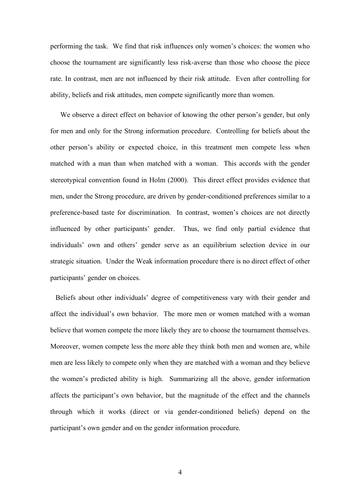performing the task. We find that risk influences only women's choices: the women who choose the tournament are significantly less risk-averse than those who choose the piece rate. In contrast, men are not influenced by their risk attitude. Even after controlling for ability, beliefs and risk attitudes, men compete significantly more than women.

We observe a direct effect on behavior of knowing the other person's gender, but only for men and only for the Strong information procedure. Controlling for beliefs about the other person's ability or expected choice, in this treatment men compete less when matched with a man than when matched with a woman. This accords with the gender stereotypical convention found in Holm (2000). This direct effect provides evidence that men, under the Strong procedure, are driven by gender-conditioned preferences similar to a preference-based taste for discrimination. In contrast, women's choices are not directly influenced by other participants' gender. Thus, we find only partial evidence that individuals' own and others' gender serve as an equilibrium selection device in our strategic situation. Under the Weak information procedure there is no direct effect of other participants' gender on choices.

 Beliefs about other individuals' degree of competitiveness vary with their gender and affect the individual's own behavior. The more men or women matched with a woman believe that women compete the more likely they are to choose the tournament themselves. Moreover, women compete less the more able they think both men and women are, while men are less likely to compete only when they are matched with a woman and they believe the women's predicted ability is high. Summarizing all the above, gender information affects the participant's own behavior, but the magnitude of the effect and the channels through which it works (direct or via gender-conditioned beliefs) depend on the participant's own gender and on the gender information procedure.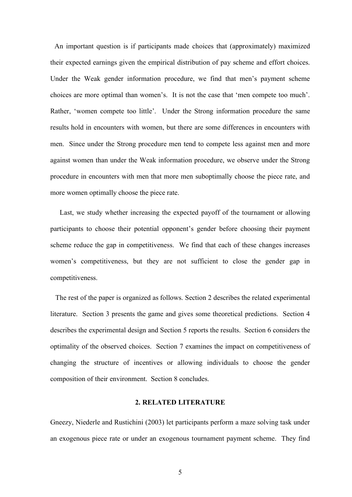An important question is if participants made choices that (approximately) maximized their expected earnings given the empirical distribution of pay scheme and effort choices. Under the Weak gender information procedure, we find that men's payment scheme choices are more optimal than women's. It is not the case that 'men compete too much'. Rather, 'women compete too little'. Under the Strong information procedure the same results hold in encounters with women, but there are some differences in encounters with men. Since under the Strong procedure men tend to compete less against men and more against women than under the Weak information procedure, we observe under the Strong procedure in encounters with men that more men suboptimally choose the piece rate, and more women optimally choose the piece rate.

 Last, we study whether increasing the expected payoff of the tournament or allowing participants to choose their potential opponent's gender before choosing their payment scheme reduce the gap in competitiveness. We find that each of these changes increases women's competitiveness, but they are not sufficient to close the gender gap in competitiveness.

 The rest of the paper is organized as follows. Section 2 describes the related experimental literature. Section 3 presents the game and gives some theoretical predictions. Section 4 describes the experimental design and Section 5 reports the results. Section 6 considers the optimality of the observed choices. Section 7 examines the impact on competitiveness of changing the structure of incentives or allowing individuals to choose the gender composition of their environment. Section 8 concludes.

#### **2. RELATED LITERATURE**

Gneezy, Niederle and Rustichini (2003) let participants perform a maze solving task under an exogenous piece rate or under an exogenous tournament payment scheme. They find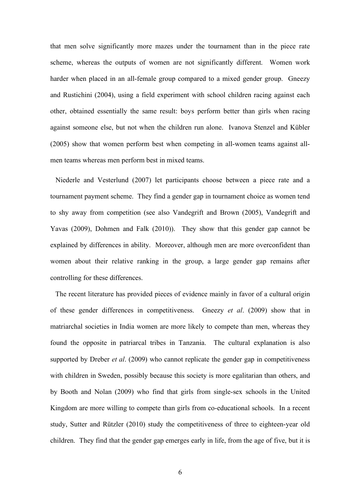that men solve significantly more mazes under the tournament than in the piece rate scheme, whereas the outputs of women are not significantly different. Women work harder when placed in an all-female group compared to a mixed gender group. Gneezy and Rustichini (2004), using a field experiment with school children racing against each other, obtained essentially the same result: boys perform better than girls when racing against someone else, but not when the children run alone. Ivanova Stenzel and Kübler (2005) show that women perform best when competing in all-women teams against allmen teams whereas men perform best in mixed teams.

 Niederle and Vesterlund (2007) let participants choose between a piece rate and a tournament payment scheme. They find a gender gap in tournament choice as women tend to shy away from competition (see also Vandegrift and Brown (2005), Vandegrift and Yavas (2009), Dohmen and Falk (2010)). They show that this gender gap cannot be explained by differences in ability. Moreover, although men are more overconfident than women about their relative ranking in the group, a large gender gap remains after controlling for these differences.

 The recent literature has provided pieces of evidence mainly in favor of a cultural origin of these gender differences in competitiveness. Gneezy *et al*. (2009) show that in matriarchal societies in India women are more likely to compete than men, whereas they found the opposite in patriarcal tribes in Tanzania. The cultural explanation is also supported by Dreber *et al*. (2009) who cannot replicate the gender gap in competitiveness with children in Sweden, possibly because this society is more egalitarian than others, and by Booth and Nolan (2009) who find that girls from single-sex schools in the United Kingdom are more willing to compete than girls from co-educational schools. In a recent study, Sutter and Rützler (2010) study the competitiveness of three to eighteen-year old children. They find that the gender gap emerges early in life, from the age of five, but it is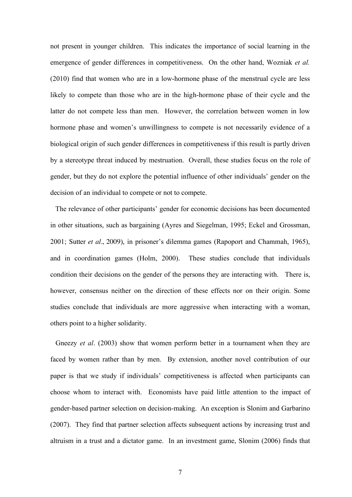not present in younger children. This indicates the importance of social learning in the emergence of gender differences in competitiveness. On the other hand, Wozniak *et al.* (2010) find that women who are in a low-hormone phase of the menstrual cycle are less likely to compete than those who are in the high-hormone phase of their cycle and the latter do not compete less than men. However, the correlation between women in low hormone phase and women's unwillingness to compete is not necessarily evidence of a biological origin of such gender differences in competitiveness if this result is partly driven by a stereotype threat induced by mestruation. Overall, these studies focus on the role of gender, but they do not explore the potential influence of other individuals' gender on the decision of an individual to compete or not to compete.

 The relevance of other participants' gender for economic decisions has been documented in other situations, such as bargaining (Ayres and Siegelman, 1995; Eckel and Grossman, 2001; Sutter *et al*., 2009), in prisoner's dilemma games (Rapoport and Chammah, 1965), and in coordination games (Holm, 2000). These studies conclude that individuals condition their decisions on the gender of the persons they are interacting with. There is, however, consensus neither on the direction of these effects nor on their origin. Some studies conclude that individuals are more aggressive when interacting with a woman, others point to a higher solidarity.

 Gneezy *et al*. (2003) show that women perform better in a tournament when they are faced by women rather than by men. By extension, another novel contribution of our paper is that we study if individuals' competitiveness is affected when participants can choose whom to interact with. Economists have paid little attention to the impact of gender-based partner selection on decision-making. An exception is Slonim and Garbarino (2007). They find that partner selection affects subsequent actions by increasing trust and altruism in a trust and a dictator game. In an investment game, Slonim (2006) finds that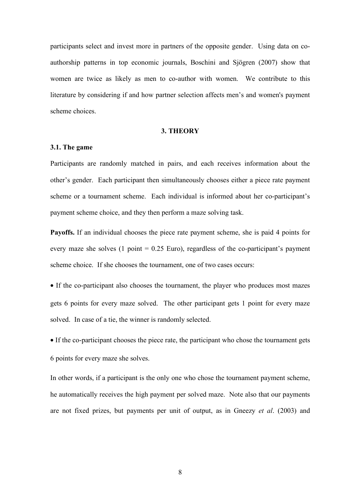participants select and invest more in partners of the opposite gender. Using data on coauthorship patterns in top economic journals, Boschini and Sjögren (2007) show that women are twice as likely as men to co-author with women. We contribute to this literature by considering if and how partner selection affects men's and women's payment scheme choices.

#### **3. THEORY**

## **3.1. The game**

Participants are randomly matched in pairs, and each receives information about the other's gender. Each participant then simultaneously chooses either a piece rate payment scheme or a tournament scheme. Each individual is informed about her co-participant's payment scheme choice, and they then perform a maze solving task.

**Payoffs.** If an individual chooses the piece rate payment scheme, she is paid 4 points for every maze she solves (1 point  $= 0.25$  Euro), regardless of the co-participant's payment scheme choice. If she chooses the tournament, one of two cases occurs:

• If the co-participant also chooses the tournament, the player who produces most mazes gets 6 points for every maze solved. The other participant gets 1 point for every maze solved. In case of a tie, the winner is randomly selected.

• If the co-participant chooses the piece rate, the participant who chose the tournament gets 6 points for every maze she solves.

In other words, if a participant is the only one who chose the tournament payment scheme, he automatically receives the high payment per solved maze. Note also that our payments are not fixed prizes, but payments per unit of output, as in Gneezy *et al*. (2003) and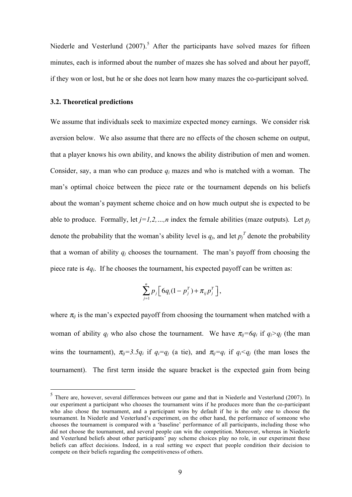Niederle and Vesterlund  $(2007)$ .<sup>5</sup> After the participants have solved mazes for fifteen minutes, each is informed about the number of mazes she has solved and about her payoff, if they won or lost, but he or she does not learn how many mazes the co-participant solved.

#### **3.2. Theoretical predictions**

We assume that individuals seek to maximize expected money earnings. We consider risk aversion below. We also assume that there are no effects of the chosen scheme on output, that a player knows his own ability, and knows the ability distribution of men and women. Consider, say, a man who can produce  $q_i$  mazes and who is matched with a woman. The man's optimal choice between the piece rate or the tournament depends on his beliefs about the woman's payment scheme choice and on how much output she is expected to be able to produce. Formally, let  $j=1,2,...,n$  index the female abilities (maze outputs). Let  $p_i$ denote the probability that the woman's ability level is  $q_j$ , and let  $p_j^T$  denote the probability that a woman of ability  $q_i$  chooses the tournament. The man's payoff from choosing the piece rate is *4qi*. If he chooses the tournament, his expected payoff can be written as:

$$
\sum_{j=1}^n p_j \Big[ 6q_i(1-p_j^T) + \pi_{ij} p_j^T \Big],
$$

where  $\pi_{ij}$  is the man's expected payoff from choosing the tournament when matched with a woman of ability  $q_i$  who also chose the tournament. We have  $\pi_{ij}=6q_i$  if  $q_i>q_j$  (the man wins the tournament),  $\pi_{ii} = 3.5q_i$  if  $q_i = q_i$  (a tie), and  $\pi_{ii} = q_i$  if  $q_i < q_i$  (the man loses the tournament). The first term inside the square bracket is the expected gain from being

<sup>&</sup>lt;sup>5</sup> There are, however, several differences between our game and that in Niederle and Vesterlund (2007). In our experiment a participant who chooses the tournament wins if he produces more than the co-participant who also chose the tournament, and a participant wins by default if he is the only one to choose the tournament. In Niederle and Vesterlund's experiment, on the other hand, the performance of someone who chooses the tournament is compared with a 'baseline' performance of all participants, including those who did not choose the tournament, and several people can win the competition. Moreover, whereas in Niederle and Vesterlund beliefs about other participants' pay scheme choices play no role, in our experiment these beliefs can affect decisions. Indeed, in a real setting we expect that people condition their decision to compete on their beliefs regarding the competitiveness of others.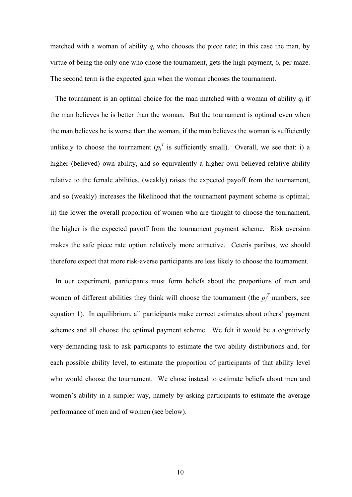matched with a woman of ability  $q_i$  who chooses the piece rate; in this case the man, by virtue of being the only one who chose the tournament, gets the high payment, 6, per maze. The second term is the expected gain when the woman chooses the tournament.

The tournament is an optimal choice for the man matched with a woman of ability  $q_i$  if the man believes he is better than the woman. But the tournament is optimal even when the man believes he is worse than the woman, if the man believes the woman is sufficiently unlikely to choose the tournament  $(p_j^T)$  is sufficiently small). Overall, we see that: i) a higher (believed) own ability, and so equivalently a higher own believed relative ability relative to the female abilities, (weakly) raises the expected payoff from the tournament, and so (weakly) increases the likelihood that the tournament payment scheme is optimal; ii) the lower the overall proportion of women who are thought to choose the tournament, the higher is the expected payoff from the tournament payment scheme. Risk aversion makes the safe piece rate option relatively more attractive. Ceteris paribus, we should therefore expect that more risk-averse participants are less likely to choose the tournament.

 In our experiment, participants must form beliefs about the proportions of men and women of different abilities they think will choose the tournament (the  $p_j^T$  numbers, see equation 1). In equilibrium, all participants make correct estimates about others' payment schemes and all choose the optimal payment scheme. We felt it would be a cognitively very demanding task to ask participants to estimate the two ability distributions and, for each possible ability level, to estimate the proportion of participants of that ability level who would choose the tournament. We chose instead to estimate beliefs about men and women's ability in a simpler way, namely by asking participants to estimate the average performance of men and of women (see below).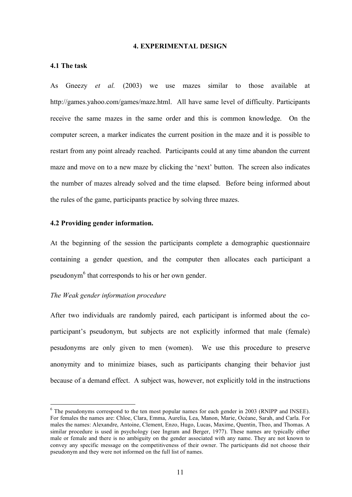#### **4. EXPERIMENTAL DESIGN**

#### **4.1 The task**

As Gneezy *et al.* (2003) we use mazes similar to those available at http://games.yahoo.com/games/maze.html. All have same level of difficulty. Participants receive the same mazes in the same order and this is common knowledge. On the computer screen, a marker indicates the current position in the maze and it is possible to restart from any point already reached. Participants could at any time abandon the current maze and move on to a new maze by clicking the 'next' button. The screen also indicates the number of mazes already solved and the time elapsed. Before being informed about the rules of the game, participants practice by solving three mazes.

## **4.2 Providing gender information.**

At the beginning of the session the participants complete a demographic questionnaire containing a gender question, and the computer then allocates each participant a pseudonym<sup>6</sup> that corresponds to his or her own gender.

## *The Weak gender information procedure*

After two individuals are randomly paired, each participant is informed about the coparticipant's pseudonym, but subjects are not explicitly informed that male (female) pesudonyms are only given to men (women). We use this procedure to preserve anonymity and to minimize biases, such as participants changing their behavior just because of a demand effect. A subject was, however, not explicitly told in the instructions

 $\frac{1}{6}$  $6$  The pseudonyms correspond to the ten most popular names for each gender in 2003 (RNIPP and INSEE). For females the names are: Chloe, Clara, Emma, Aurelia, Lea, Manon, Marie, Océane, Sarah, and Carla. For males the names: Alexandre, Antoine, Clement, Enzo, Hugo, Lucas, Maxime, Quentin, Theo, and Thomas. A similar procedure is used in psychology (see Ingram and Berger, 1977). These names are typically either male or female and there is no ambiguity on the gender associated with any name. They are not known to convey any specific message on the competitiveness of their owner. The participants did not choose their pseudonym and they were not informed on the full list of names.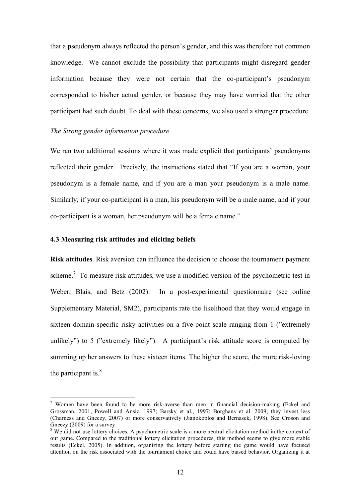that a pseudonym always reflected the person's gender, and this was therefore not common knowledge. We cannot exclude the possibility that participants might disregard gender information because they were not certain that the co-participant's pseudonym corresponded to his/her actual gender, or because they may have worried that the other participant had such doubt. To deal with these concerns, we also used a stronger procedure.

### *The Strong gender information procedure*

We ran two additional sessions where it was made explicit that participants' pseudonyms reflected their gender. Precisely, the instructions stated that "If you are a woman, your pseudonym is a female name, and if you are a man your pseudonym is a male name. Similarly, if your co-participant is a man, his pseudonym will be a male name, and if your co-participant is a woman, her pseudonym will be a female name."

### **4.3 Measuring risk attitudes and eliciting beliefs**

**Risk attitudes**. Risk aversion can influence the decision to choose the tournament payment scheme.<sup>7</sup> To measure risk attitudes, we use a modified version of the psychometric test in Weber, Blais, and Betz (2002). In a post-experimental questionnaire (see online Supplementary Material, SM2), participants rate the likelihood that they would engage in sixteen domain-specific risky activities on a five-point scale ranging from 1 ("extremely unlikely") to 5 ("extremely likely"). A participant's risk attitude score is computed by summing up her answers to these sixteen items. The higher the score, the more risk-loving the participant is. $8<sup>8</sup>$ 

<sup>&</sup>lt;sup>7</sup> Women have been found to be more risk-averse than men in financial decision-making (Eckel and Grossman, 2001, Powell and Ansic, 1997; Barsky et al., 1997; Borghans et al. 2009; they invest less (Charness and Gneezy, 2007) or more conservatively (Jianokoplos and Bernasek, 1998). See Croson and Gneezy (2009) for a survey.

<sup>&</sup>lt;sup>8</sup> We did not use lottery choices. A psychometric scale is a more neutral elicitation method in the context of our game. Compared to the traditional lottery elicitation procedures, this method seems to give more stable results (Eckel, 2005). In addition, organizing the lottery before starting the game would have focused attention on the risk associated with the tournament choice and could have biased behavior. Organizing it at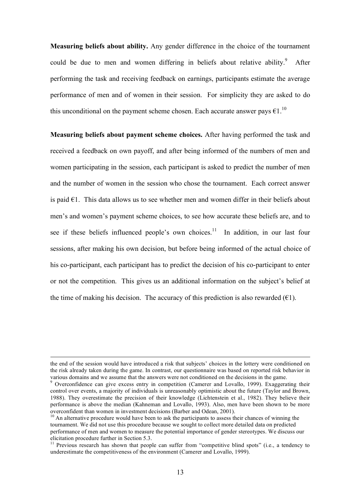**Measuring beliefs about ability.** Any gender difference in the choice of the tournament could be due to men and women differing in beliefs about relative ability.<sup>9</sup> After performing the task and receiving feedback on earnings, participants estimate the average performance of men and of women in their session. For simplicity they are asked to do this unconditional on the payment scheme chosen. Each accurate answer pays  $61$ .<sup>10</sup>

**Measuring beliefs about payment scheme choices.** After having performed the task and received a feedback on own payoff, and after being informed of the numbers of men and women participating in the session, each participant is asked to predict the number of men and the number of women in the session who chose the tournament. Each correct answer is paid  $\epsilon$ 1. This data allows us to see whether men and women differ in their beliefs about men's and women's payment scheme choices, to see how accurate these beliefs are, and to see if these beliefs influenced people's own choices.<sup>11</sup> In addition, in our last four sessions, after making his own decision, but before being informed of the actual choice of his co-participant, each participant has to predict the decision of his co-participant to enter or not the competition. This gives us an additional information on the subject's belief at the time of making his decision. The accuracy of this prediction is also rewarded  $(61)$ .

the end of the session would have introduced a risk that subjects' choices in the lottery were conditioned on the risk already taken during the game. In contrast, our questionnaire was based on reported risk behavior in various domains and we assume that the answers were not conditioned on the decisions in the game.

<sup>&</sup>lt;sup>9</sup> Overconfidence can give excess entry in competition (Camerer and Lovallo, 1999). Exaggerating their control over events, a majority of individuals is unreasonably optimistic about the future (Taylor and Brown, 1988). They overestimate the precision of their knowledge (Lichtenstein et al., 1982). They believe their performance is above the median (Kahneman and Lovallo, 1993). Also, men have been shown to be more overconfident than women in investment decisions (Barber and Odean, 2001).

 $10$  An alternative procedure would have been to ask the participants to assess their chances of winning the tournament. We did not use this procedure because we sought to collect more detailed data on predicted performance of men and women to measure the potential importance of gender stereotypes. We discuss our elicitation procedure further in Section 5.3.

 $11$  Previous research has shown that people can suffer from "competitive blind spots" (i.e., a tendency to underestimate the competitiveness of the environment (Camerer and Lovallo, 1999).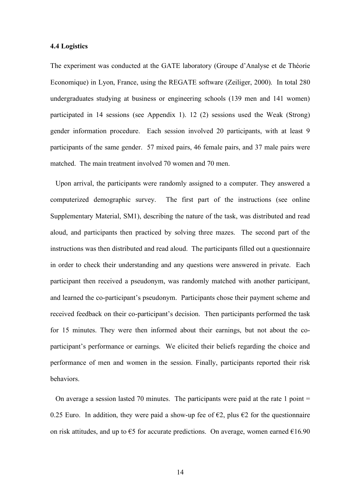#### **4.4 Logistics**

The experiment was conducted at the GATE laboratory (Groupe d'Analyse et de Théorie Economique) in Lyon, France, using the REGATE software (Zeiliger, 2000). In total 280 undergraduates studying at business or engineering schools (139 men and 141 women) participated in 14 sessions (see Appendix 1). 12 (2) sessions used the Weak (Strong) gender information procedure. Each session involved 20 participants, with at least 9 participants of the same gender. 57 mixed pairs, 46 female pairs, and 37 male pairs were matched. The main treatment involved 70 women and 70 men.

 Upon arrival, the participants were randomly assigned to a computer. They answered a computerized demographic survey. The first part of the instructions (see online Supplementary Material, SM1), describing the nature of the task, was distributed and read aloud, and participants then practiced by solving three mazes. The second part of the instructions was then distributed and read aloud. The participants filled out a questionnaire in order to check their understanding and any questions were answered in private. Each participant then received a pseudonym, was randomly matched with another participant, and learned the co-participant's pseudonym. Participants chose their payment scheme and received feedback on their co-participant's decision. Then participants performed the task for 15 minutes. They were then informed about their earnings, but not about the coparticipant's performance or earnings. We elicited their beliefs regarding the choice and performance of men and women in the session. Finally, participants reported their risk behaviors.

On average a session lasted 70 minutes. The participants were paid at the rate 1 point  $=$ 0.25 Euro. In addition, they were paid a show-up fee of  $\epsilon$ 2, plus  $\epsilon$ 2 for the questionnaire on risk attitudes, and up to  $\epsilon$ 5 for accurate predictions. On average, women earned  $\epsilon$ 16.90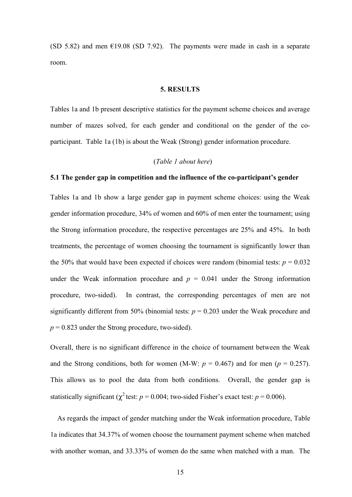(SD 5.82) and men  $E19.08$  (SD 7.92). The payments were made in cash in a separate room.

### **5. RESULTS**

Tables 1a and 1b present descriptive statistics for the payment scheme choices and average number of mazes solved, for each gender and conditional on the gender of the coparticipant. Table 1a (1b) is about the Weak (Strong) gender information procedure.

## (*Table 1 about here*)

## **5.1 The gender gap in competition and the influence of the co-participant's gender**

Tables 1a and 1b show a large gender gap in payment scheme choices: using the Weak gender information procedure, 34% of women and 60% of men enter the tournament; using the Strong information procedure, the respective percentages are 25% and 45%. In both treatments, the percentage of women choosing the tournament is significantly lower than the 50% that would have been expected if choices were random (binomial tests:  $p = 0.032$ ) under the Weak information procedure and  $p = 0.041$  under the Strong information procedure, two-sided). In contrast, the corresponding percentages of men are not significantly different from 50% (binomial tests:  $p = 0.203$  under the Weak procedure and  $p = 0.823$  under the Strong procedure, two-sided).

Overall, there is no significant difference in the choice of tournament between the Weak and the Strong conditions, both for women (M-W:  $p = 0.467$ ) and for men ( $p = 0.257$ ). This allows us to pool the data from both conditions. Overall, the gender gap is statistically significant ( $\chi^2$  test: *p* = 0.004; two-sided Fisher's exact test: *p* = 0.006).

 As regards the impact of gender matching under the Weak information procedure, Table 1a indicates that 34.37% of women choose the tournament payment scheme when matched with another woman, and 33.33% of women do the same when matched with a man. The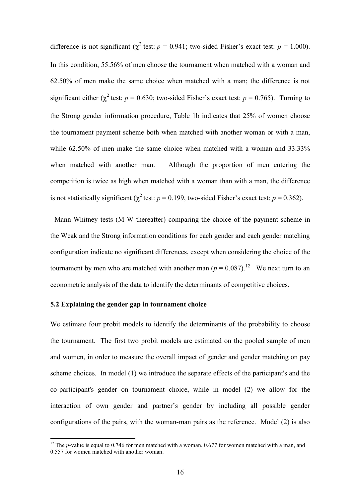difference is not significant ( $\chi^2$  test:  $p = 0.941$ ; two-sided Fisher's exact test:  $p = 1.000$ ). In this condition, 55.56% of men choose the tournament when matched with a woman and 62.50% of men make the same choice when matched with a man; the difference is not significant either ( $\chi^2$  test: *p* = 0.630; two-sided Fisher's exact test: *p* = 0.765). Turning to the Strong gender information procedure, Table 1b indicates that 25% of women choose the tournament payment scheme both when matched with another woman or with a man, while 62.50% of men make the same choice when matched with a woman and 33.33% when matched with another man. Although the proportion of men entering the competition is twice as high when matched with a woman than with a man, the difference is not statistically significant ( $\chi^2$  test: *p* = 0.199, two-sided Fisher's exact test: *p* = 0.362).

Mann-Whitney tests (M-W thereafter) comparing the choice of the payment scheme in the Weak and the Strong information conditions for each gender and each gender matching configuration indicate no significant differences, except when considering the choice of the tournament by men who are matched with another man  $(p = 0.087)$ .<sup>12</sup> We next turn to an econometric analysis of the data to identify the determinants of competitive choices.

#### **5.2 Explaining the gender gap in tournament choice**

We estimate four probit models to identify the determinants of the probability to choose the tournament. The first two probit models are estimated on the pooled sample of men and women, in order to measure the overall impact of gender and gender matching on pay scheme choices. In model (1) we introduce the separate effects of the participant's and the co-participant's gender on tournament choice, while in model (2) we allow for the interaction of own gender and partner's gender by including all possible gender configurations of the pairs, with the woman-man pairs as the reference. Model (2) is also

<sup>&</sup>lt;sup>12</sup> The *p*-value is equal to 0.746 for men matched with a woman, 0.677 for women matched with a man, and 0.557 for women matched with another woman.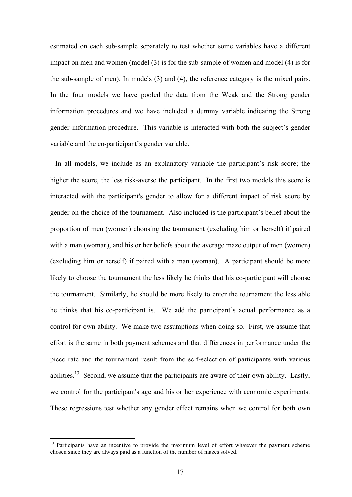estimated on each sub-sample separately to test whether some variables have a different impact on men and women (model (3) is for the sub-sample of women and model (4) is for the sub-sample of men). In models (3) and (4), the reference category is the mixed pairs. In the four models we have pooled the data from the Weak and the Strong gender information procedures and we have included a dummy variable indicating the Strong gender information procedure. This variable is interacted with both the subject's gender variable and the co-participant's gender variable.

 In all models, we include as an explanatory variable the participant's risk score; the higher the score, the less risk-averse the participant. In the first two models this score is interacted with the participant's gender to allow for a different impact of risk score by gender on the choice of the tournament. Also included is the participant's belief about the proportion of men (women) choosing the tournament (excluding him or herself) if paired with a man (woman), and his or her beliefs about the average maze output of men (women) (excluding him or herself) if paired with a man (woman). A participant should be more likely to choose the tournament the less likely he thinks that his co-participant will choose the tournament. Similarly, he should be more likely to enter the tournament the less able he thinks that his co-participant is. We add the participant's actual performance as a control for own ability. We make two assumptions when doing so. First, we assume that effort is the same in both payment schemes and that differences in performance under the piece rate and the tournament result from the self-selection of participants with various abilities.<sup>13</sup> Second, we assume that the participants are aware of their own ability. Lastly, we control for the participant's age and his or her experience with economic experiments. These regressions test whether any gender effect remains when we control for both own

<sup>&</sup>lt;sup>13</sup> Participants have an incentive to provide the maximum level of effort whatever the payment scheme chosen since they are always paid as a function of the number of mazes solved.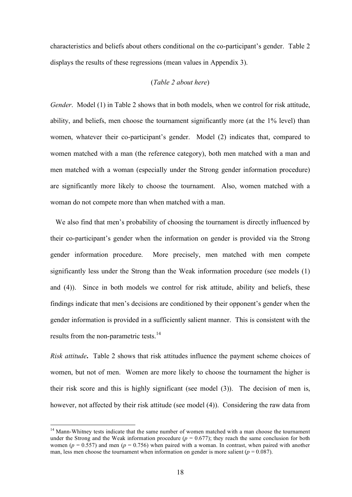characteristics and beliefs about others conditional on the co-participant's gender. Table 2 displays the results of these regressions (mean values in Appendix 3).

## (*Table 2 about here*)

*Gender*. Model (1) in Table 2 shows that in both models, when we control for risk attitude, ability, and beliefs, men choose the tournament significantly more (at the 1% level) than women, whatever their co-participant's gender. Model (2) indicates that, compared to women matched with a man (the reference category), both men matched with a man and men matched with a woman (especially under the Strong gender information procedure) are significantly more likely to choose the tournament. Also, women matched with a woman do not compete more than when matched with a man.

We also find that men's probability of choosing the tournament is directly influenced by their co-participant's gender when the information on gender is provided via the Strong gender information procedure. More precisely, men matched with men compete significantly less under the Strong than the Weak information procedure (see models (1) and (4)). Since in both models we control for risk attitude, ability and beliefs, these findings indicate that men's decisions are conditioned by their opponent's gender when the gender information is provided in a sufficiently salient manner. This is consistent with the results from the non-parametric tests.<sup>14</sup>

*Risk attitude***.** Table 2 shows that risk attitudes influence the payment scheme choices of women, but not of men. Women are more likely to choose the tournament the higher is their risk score and this is highly significant (see model (3)). The decision of men is, however, not affected by their risk attitude (see model (4)). Considering the raw data from

<sup>&</sup>lt;sup>14</sup> Mann-Whitney tests indicate that the same number of women matched with a man choose the tournament under the Strong and the Weak information procedure ( $p = 0.677$ ); they reach the same conclusion for both women ( $p = 0.557$ ) and men ( $p = 0.756$ ) when paired with a woman. In contrast, when paired with another man, less men choose the tournament when information on gender is more salient ( $p = 0.087$ ).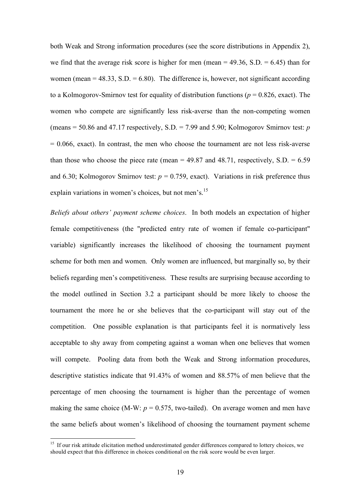both Weak and Strong information procedures (see the score distributions in Appendix 2), we find that the average risk score is higher for men (mean  $= 49.36$ , S.D.  $= 6.45$ ) than for women (mean  $= 48.33$ , S.D.  $= 6.80$ ). The difference is, however, not significant according to a Kolmogorov-Smirnov test for equality of distribution functions ( $p = 0.826$ , exact). The women who compete are significantly less risk-averse than the non-competing women (means  $= 50.86$  and  $47.17$  respectively, S.D.  $= 7.99$  and  $5.90$ ; Kolmogorov Smirnov test: *p*  $= 0.066$ , exact). In contrast, the men who choose the tournament are not less risk-averse than those who choose the piece rate (mean =  $49.87$  and  $48.71$ , respectively, S.D. =  $6.59$ ) and 6.30; Kolmogorov Smirnov test:  $p = 0.759$ , exact). Variations in risk preference thus explain variations in women's choices, but not men's.<sup>15</sup>

*Beliefs about others' payment scheme choices*. In both models an expectation of higher female competitiveness (the "predicted entry rate of women if female co-participant" variable) significantly increases the likelihood of choosing the tournament payment scheme for both men and women. Only women are influenced, but marginally so, by their beliefs regarding men's competitiveness. These results are surprising because according to the model outlined in Section 3.2 a participant should be more likely to choose the tournament the more he or she believes that the co-participant will stay out of the competition. One possible explanation is that participants feel it is normatively less acceptable to shy away from competing against a woman when one believes that women will compete. Pooling data from both the Weak and Strong information procedures, descriptive statistics indicate that 91.43% of women and 88.57% of men believe that the percentage of men choosing the tournament is higher than the percentage of women making the same choice (M-W:  $p = 0.575$ , two-tailed). On average women and men have the same beliefs about women's likelihood of choosing the tournament payment scheme

<sup>&</sup>lt;sup>15</sup> If our risk attitude elicitation method underestimated gender differences compared to lottery choices, we should expect that this difference in choices conditional on the risk score would be even larger.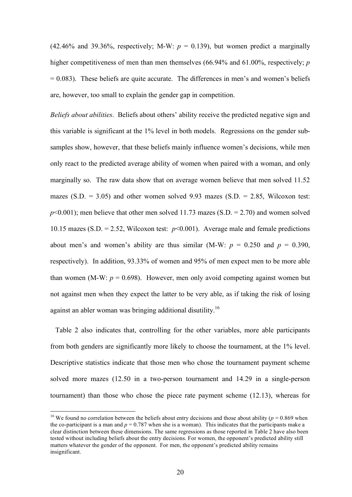$(42.46\%$  and 39.36%, respectively; M-W:  $p = 0.139$ ), but women predict a marginally higher competitiveness of men than men themselves (66.94% and 61.00%, respectively; *p*  $= 0.083$ ). These beliefs are quite accurate. The differences in men's and women's beliefs are, however, too small to explain the gender gap in competition.

*Beliefs about abilities*. Beliefs about others' ability receive the predicted negative sign and this variable is significant at the 1% level in both models. Regressions on the gender subsamples show, however, that these beliefs mainly influence women's decisions, while men only react to the predicted average ability of women when paired with a woman, and only marginally so. The raw data show that on average women believe that men solved 11.52 mazes  $(S.D. = 3.05)$  and other women solved 9.93 mazes  $(S.D. = 2.85,$  Wilcoxon test:  $p$ <0.001); men believe that other men solved 11.73 mazes (S.D. = 2.70) and women solved 10.15 mazes (S.D. = 2.52, Wilcoxon test:  $p<0.001$ ). Average male and female predictions about men's and women's ability are thus similar (M-W:  $p = 0.250$  and  $p = 0.390$ , respectively). In addition, 93.33% of women and 95% of men expect men to be more able than women (M-W:  $p = 0.698$ ). However, men only avoid competing against women but not against men when they expect the latter to be very able, as if taking the risk of losing against an abler woman was bringing additional disutility.<sup>16</sup>

 Table 2 also indicates that, controlling for the other variables, more able participants from both genders are significantly more likely to choose the tournament, at the 1% level. Descriptive statistics indicate that those men who chose the tournament payment scheme solved more mazes (12.50 in a two-person tournament and 14.29 in a single-person tournament) than those who chose the piece rate payment scheme (12.13), whereas for

<sup>&</sup>lt;sup>16</sup> We found no correlation between the beliefs about entry decisions and those about ability ( $p = 0.869$  when the co-participant is a man and  $p = 0.787$  when she is a woman). This indicates that the participants make a clear distinction between these dimensions. The same regressions as those reported in Table 2 have also been tested without including beliefs about the entry decisions. For women, the opponent's predicted ability still matters whatever the gender of the opponent. For men, the opponent's predicted ability remains insignificant.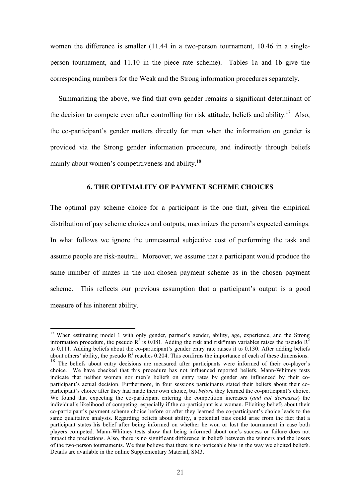women the difference is smaller (11.44 in a two-person tournament, 10.46 in a singleperson tournament, and 11.10 in the piece rate scheme). Tables 1a and 1b give the corresponding numbers for the Weak and the Strong information procedures separately.

Summarizing the above, we find that own gender remains a significant determinant of the decision to compete even after controlling for risk attitude, beliefs and ability.<sup>17</sup> Also, the co-participant's gender matters directly for men when the information on gender is provided via the Strong gender information procedure, and indirectly through beliefs mainly about women's competitiveness and ability.<sup>18</sup>

## **6. THE OPTIMALITY OF PAYMENT SCHEME CHOICES**

The optimal pay scheme choice for a participant is the one that, given the empirical distribution of pay scheme choices and outputs, maximizes the person's expected earnings. In what follows we ignore the unmeasured subjective cost of performing the task and assume people are risk-neutral. Moreover, we assume that a participant would produce the same number of mazes in the non-chosen payment scheme as in the chosen payment scheme. This reflects our previous assumption that a participant's output is a good measure of his inherent ability.

<sup>&</sup>lt;sup>17</sup> When estimating model 1 with only gender, partner's gender, ability, age, experience, and the Strong information procedure, the pseudo  $R^2$  is 0.081. Adding the risk and risk\*man variables raises the pseudo  $R^2$ to 0.111. Adding beliefs about the co-participant's gender entry rate raises it to 0.130. After adding beliefs about others' ability, the pseudo  $R^2$  reaches 0.204. This confirms the importance of each of these dimensions.

<sup>&</sup>lt;sup>18</sup> The beliefs about entry decisions are measured after participants were informed of their co-player's choice. We have checked that this procedure has not influenced reported beliefs. Mann-Whitney tests indicate that neither women nor men's beliefs on entry rates by gender are influenced by their coparticipant's actual decision. Furthermore, in four sessions participants stated their beliefs about their coparticipant's choice after they had made their own choice, but *before* they learned the co-participant's choice. We found that expecting the co-participant entering the competition increases (*and not decreases*) the individual's likelihood of competing, especially if the co-participant is a woman. Eliciting beliefs about their co-participant's payment scheme choice before or after they learned the co-participant's choice leads to the same qualitative analysis. Regarding beliefs about ability, a potential bias could arise from the fact that a participant states his belief after being informed on whether he won or lost the tournament in case both players competed. Mann-Whitney tests show that being informed about one's success or failure does not impact the predictions. Also, there is no significant difference in beliefs between the winners and the losers of the two-person tournaments. We thus believe that there is no noticeable bias in the way we elicited beliefs. Details are available in the online Supplementary Material, SM3.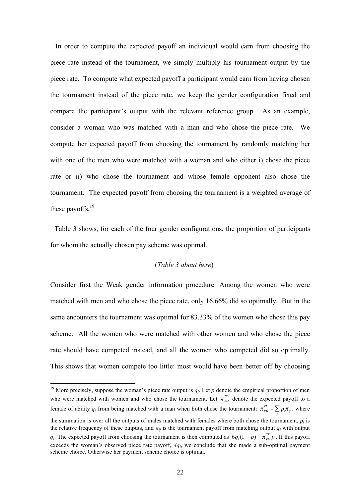In order to compute the expected payoff an individual would earn from choosing the piece rate instead of the tournament, we simply multiply his tournament output by the piece rate. To compute what expected payoff a participant would earn from having chosen the tournament instead of the piece rate, we keep the gender configuration fixed and compare the participant's output with the relevant reference group. As an example, consider a woman who was matched with a man and who chose the piece rate. We compute her expected payoff from choosing the tournament by randomly matching her with one of the men who were matched with a woman and who either i) chose the piece rate or ii) who chose the tournament and whose female opponent also chose the tournament. The expected payoff from choosing the tournament is a weighted average of these payoffs. $^{19}$ 

Table 3 shows, for each of the four gender configurations, the proportion of participants for whom the actually chosen pay scheme was optimal.

### (*Table 3 about here*)

Consider first the Weak gender information procedure. Among the women who were matched with men and who chose the piece rate, only 16.66% did so optimally. But in the same encounters the tournament was optimal for 83.33% of the women who chose this pay scheme. All the women who were matched with other women and who chose the piece rate should have competed instead, and all the women who competed did so optimally. This shows that women compete too little: most would have been better off by choosing

*j*

<sup>&</sup>lt;sup>19</sup> More precisely, suppose the woman's piece rate output is  $q_i$ . Let p denote the empirical proportion of men who were matched with women and who chose the tournament. Let  $\pi_{\scriptscriptstyle FM}^{\scriptscriptstyle TT}$  denote the expected payoff to a female of ability  $q_i$  from being matched with a man when both chose the tournament:  $\pi_{r_M}^T = \sum p_j \pi_{r_j}$ , where

the summation is over all the outputs of males matched with females where both chose the tournament,  $p_j$  is the relative frequency of these outputs, and  $\pi_{ij}$  is the tournament payoff from matching output  $q_i$  with output *q<sub>j</sub>*. The expected payoff from choosing the tournament is then computed as  $6q_i(1-p) + \pi_{FM}^{TT} p$ . If this payoff exceeds the woman's observed piece rate payoff, *4qi*, we conclude that she made a sub-optimal payment scheme choice. Otherwise her payment scheme choice is optimal.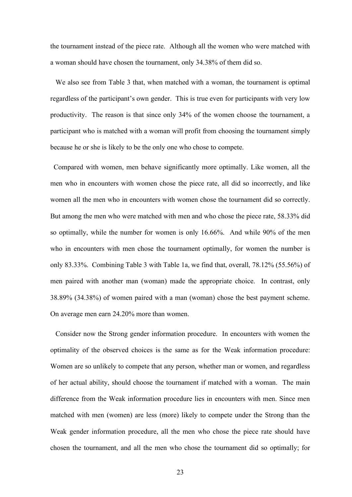the tournament instead of the piece rate. Although all the women who were matched with a woman should have chosen the tournament, only 34.38% of them did so.

 We also see from Table 3 that, when matched with a woman, the tournament is optimal regardless of the participant's own gender. This is true even for participants with very low productivity. The reason is that since only 34% of the women choose the tournament, a participant who is matched with a woman will profit from choosing the tournament simply because he or she is likely to be the only one who chose to compete.

 Compared with women, men behave significantly more optimally. Like women, all the men who in encounters with women chose the piece rate, all did so incorrectly, and like women all the men who in encounters with women chose the tournament did so correctly. But among the men who were matched with men and who chose the piece rate, 58.33% did so optimally, while the number for women is only 16.66%. And while 90% of the men who in encounters with men chose the tournament optimally, for women the number is only 83.33%. Combining Table 3 with Table 1a, we find that, overall, 78.12% (55.56%) of men paired with another man (woman) made the appropriate choice. In contrast, only 38.89% (34.38%) of women paired with a man (woman) chose the best payment scheme. On average men earn 24.20% more than women.

 Consider now the Strong gender information procedure. In encounters with women the optimality of the observed choices is the same as for the Weak information procedure: Women are so unlikely to compete that any person, whether man or women, and regardless of her actual ability, should choose the tournament if matched with a woman. The main difference from the Weak information procedure lies in encounters with men. Since men matched with men (women) are less (more) likely to compete under the Strong than the Weak gender information procedure, all the men who chose the piece rate should have chosen the tournament, and all the men who chose the tournament did so optimally; for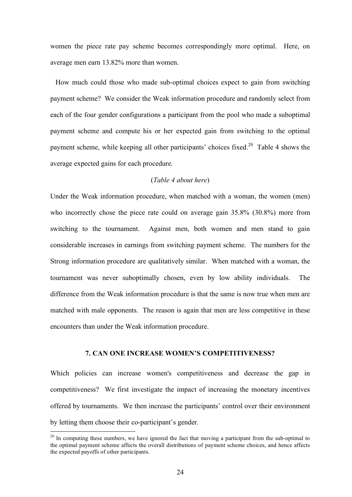women the piece rate pay scheme becomes correspondingly more optimal. Here, on average men earn 13.82% more than women.

 How much could those who made sub-optimal choices expect to gain from switching payment scheme? We consider the Weak information procedure and randomly select from each of the four gender configurations a participant from the pool who made a suboptimal payment scheme and compute his or her expected gain from switching to the optimal payment scheme, while keeping all other participants' choices fixed.<sup>20</sup> Table 4 shows the average expected gains for each procedure.

## (*Table 4 about here*)

Under the Weak information procedure, when matched with a woman, the women (men) who incorrectly chose the piece rate could on average gain 35.8% (30.8%) more from switching to the tournament. Against men, both women and men stand to gain considerable increases in earnings from switching payment scheme. The numbers for the Strong information procedure are qualitatively similar. When matched with a woman, the tournament was never suboptimally chosen, even by low ability individuals. The difference from the Weak information procedure is that the same is now true when men are matched with male opponents. The reason is again that men are less competitive in these encounters than under the Weak information procedure.

## **7. CAN ONE INCREASE WOMEN'S COMPETITIVENESS?**

Which policies can increase women's competitiveness and decrease the gap in competitiveness? We first investigate the impact of increasing the monetary incentives offered by tournaments. We then increase the participants' control over their environment by letting them choose their co-participant's gender.

 $20$  In computing these numbers, we have ignored the fact that moving a participant from the sub-optimal to the optimal payment scheme affects the overall distributions of payment scheme choices, and hence affects the expected payoffs of other participants.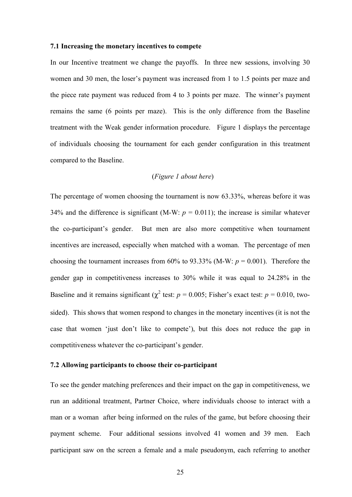#### **7.1 Increasing the monetary incentives to compete**

In our Incentive treatment we change the payoffs. In three new sessions, involving 30 women and 30 men, the loser's payment was increased from 1 to 1.5 points per maze and the piece rate payment was reduced from 4 to 3 points per maze. The winner's payment remains the same (6 points per maze). This is the only difference from the Baseline treatment with the Weak gender information procedure. Figure 1 displays the percentage of individuals choosing the tournament for each gender configuration in this treatment compared to the Baseline.

### (*Figure 1 about here*)

The percentage of women choosing the tournament is now 63.33%, whereas before it was 34% and the difference is significant (M-W:  $p = 0.011$ ); the increase is similar whatever the co-participant's gender. But men are also more competitive when tournament incentives are increased, especially when matched with a woman. The percentage of men choosing the tournament increases from  $60\%$  to  $93.33\%$  (M-W:  $p = 0.001$ ). Therefore the gender gap in competitiveness increases to 30% while it was equal to 24.28% in the Baseline and it remains significant ( $\chi^2$  test:  $p = 0.005$ ; Fisher's exact test:  $p = 0.010$ , twosided). This shows that women respond to changes in the monetary incentives (it is not the case that women 'just don't like to compete'), but this does not reduce the gap in competitiveness whatever the co-participant's gender.

## **7.2 Allowing participants to choose their co-participant**

To see the gender matching preferences and their impact on the gap in competitiveness, we run an additional treatment, Partner Choice, where individuals choose to interact with a man or a woman after being informed on the rules of the game, but before choosing their payment scheme. Four additional sessions involved 41 women and 39 men. Each participant saw on the screen a female and a male pseudonym, each referring to another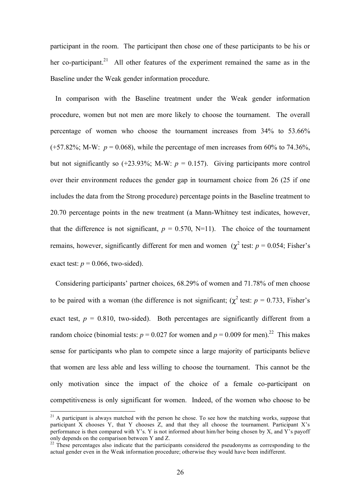participant in the room. The participant then chose one of these participants to be his or her co-participant.<sup>21</sup> All other features of the experiment remained the same as in the Baseline under the Weak gender information procedure.

 In comparison with the Baseline treatment under the Weak gender information procedure, women but not men are more likely to choose the tournament. The overall percentage of women who choose the tournament increases from 34% to 53.66%  $(+57.82\%; M-W: p = 0.068)$ , while the percentage of men increases from 60% to 74.36%, but not significantly so  $(+23.93\%; M-W: p = 0.157)$ . Giving participants more control over their environment reduces the gender gap in tournament choice from 26 (25 if one includes the data from the Strong procedure) percentage points in the Baseline treatment to 20.70 percentage points in the new treatment (a Mann-Whitney test indicates, however, that the difference is not significant,  $p = 0.570$ , N=11). The choice of the tournament remains, however, significantly different for men and women  $(\chi^2 \text{ test: } p = 0.054; \text{ Fisher's})$ exact test:  $p = 0.066$ , two-sided).

 Considering participants' partner choices, 68.29% of women and 71.78% of men choose to be paired with a woman (the difference is not significant;  $(\chi^2 \text{ test: } p = 0.733, \text{ Fisher's})$ exact test,  $p = 0.810$ , two-sided). Both percentages are significantly different from a random choice (binomial tests:  $p = 0.027$  for women and  $p = 0.009$  for men).<sup>22</sup> This makes sense for participants who plan to compete since a large majority of participants believe that women are less able and less willing to choose the tournament. This cannot be the only motivation since the impact of the choice of a female co-participant on competitiveness is only significant for women. Indeed, of the women who choose to be

<sup>&</sup>lt;sup>21</sup> A participant is always matched with the person he chose. To see how the matching works, suppose that participant X chooses Y, that Y chooses Z, and that they all choose the tournament. Participant X's performance is then compared with Y's. Y is not informed about him/her being chosen by X, and Y's payoff only depends on the comparison between Y and Z.

 $22$  These percentages also indicate that the participants considered the pseudonyms as corresponding to the actual gender even in the Weak information procedure; otherwise they would have been indifferent.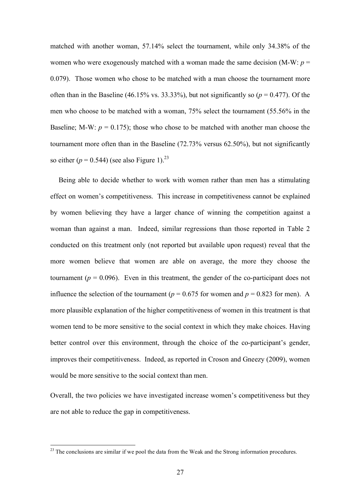matched with another woman, 57.14% select the tournament, while only 34.38% of the women who were exogenously matched with a woman made the same decision (M-W: *p* = 0.079). Those women who chose to be matched with a man choose the tournament more often than in the Baseline (46.15% vs. 33.33%), but not significantly so ( $p = 0.477$ ). Of the men who choose to be matched with a woman, 75% select the tournament (55.56% in the Baseline; M-W:  $p = 0.175$ ); those who chose to be matched with another man choose the tournament more often than in the Baseline (72.73% versus 62.50%), but not significantly so either  $(p = 0.544)$  (see also Figure 1).<sup>23</sup>

Being able to decide whether to work with women rather than men has a stimulating effect on women's competitiveness. This increase in competitiveness cannot be explained by women believing they have a larger chance of winning the competition against a woman than against a man. Indeed, similar regressions than those reported in Table 2 conducted on this treatment only (not reported but available upon request) reveal that the more women believe that women are able on average, the more they choose the tournament ( $p = 0.096$ ). Even in this treatment, the gender of the co-participant does not influence the selection of the tournament ( $p = 0.675$  for women and  $p = 0.823$  for men). A more plausible explanation of the higher competitiveness of women in this treatment is that women tend to be more sensitive to the social context in which they make choices. Having better control over this environment, through the choice of the co-participant's gender, improves their competitiveness. Indeed, as reported in Croson and Gneezy (2009), women would be more sensitive to the social context than men.

Overall, the two policies we have investigated increase women's competitiveness but they are not able to reduce the gap in competitiveness.

<sup>&</sup>lt;sup>23</sup> The conclusions are similar if we pool the data from the Weak and the Strong information procedures.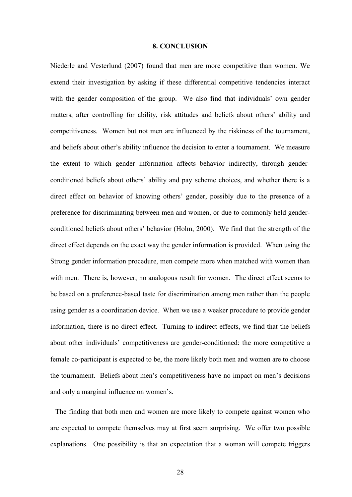#### **8. CONCLUSION**

Niederle and Vesterlund (2007) found that men are more competitive than women. We extend their investigation by asking if these differential competitive tendencies interact with the gender composition of the group. We also find that individuals' own gender matters, after controlling for ability, risk attitudes and beliefs about others' ability and competitiveness. Women but not men are influenced by the riskiness of the tournament, and beliefs about other's ability influence the decision to enter a tournament. We measure the extent to which gender information affects behavior indirectly, through genderconditioned beliefs about others' ability and pay scheme choices, and whether there is a direct effect on behavior of knowing others' gender, possibly due to the presence of a preference for discriminating between men and women, or due to commonly held genderconditioned beliefs about others' behavior (Holm, 2000). We find that the strength of the direct effect depends on the exact way the gender information is provided. When using the Strong gender information procedure, men compete more when matched with women than with men. There is, however, no analogous result for women. The direct effect seems to be based on a preference-based taste for discrimination among men rather than the people using gender as a coordination device. When we use a weaker procedure to provide gender information, there is no direct effect. Turning to indirect effects, we find that the beliefs about other individuals' competitiveness are gender-conditioned: the more competitive a female co-participant is expected to be, the more likely both men and women are to choose the tournament. Beliefs about men's competitiveness have no impact on men's decisions and only a marginal influence on women's.

 The finding that both men and women are more likely to compete against women who are expected to compete themselves may at first seem surprising. We offer two possible explanations. One possibility is that an expectation that a woman will compete triggers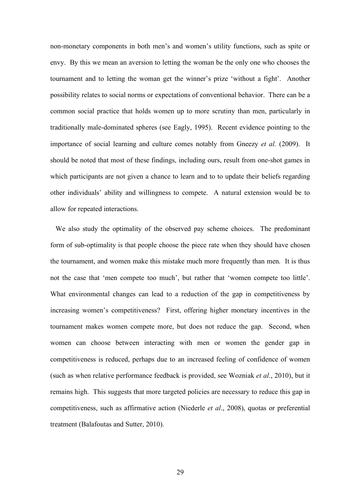non-monetary components in both men's and women's utility functions, such as spite or envy. By this we mean an aversion to letting the woman be the only one who chooses the tournament and to letting the woman get the winner's prize 'without a fight'. Another possibility relates to social norms or expectations of conventional behavior. There can be a common social practice that holds women up to more scrutiny than men, particularly in traditionally male-dominated spheres (see Eagly, 1995). Recent evidence pointing to the importance of social learning and culture comes notably from Gneezy *et al.* (2009). It should be noted that most of these findings, including ours, result from one-shot games in which participants are not given a chance to learn and to to update their beliefs regarding other individuals' ability and willingness to compete. A natural extension would be to allow for repeated interactions.

 We also study the optimality of the observed pay scheme choices. The predominant form of sub-optimality is that people choose the piece rate when they should have chosen the tournament, and women make this mistake much more frequently than men. It is thus not the case that 'men compete too much', but rather that 'women compete too little'. What environmental changes can lead to a reduction of the gap in competitiveness by increasing women's competitiveness? First, offering higher monetary incentives in the tournament makes women compete more, but does not reduce the gap. Second, when women can choose between interacting with men or women the gender gap in competitiveness is reduced, perhaps due to an increased feeling of confidence of women (such as when relative performance feedback is provided, see Wozniak *et al.*, 2010), but it remains high. This suggests that more targeted policies are necessary to reduce this gap in competitiveness, such as affirmative action (Niederle *et al*., 2008), quotas or preferential treatment (Balafoutas and Sutter, 2010).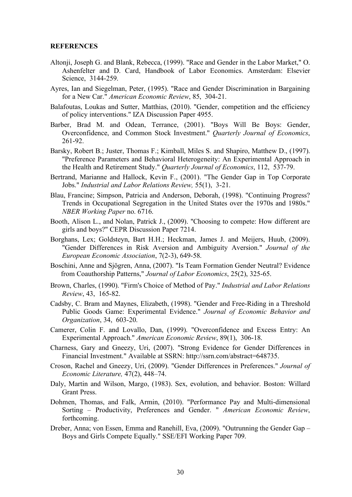#### **REFERENCES**

- Altonji, Joseph G. and Blank, Rebecca, (1999). "Race and Gender in the Labor Market," O. Ashenfelter and D. Card, Handbook of Labor Economics. Amsterdam: Elsevier Science, 3144-259.
- Ayres, Ian and Siegelman, Peter, (1995). "Race and Gender Discrimination in Bargaining for a New Car." *American Economic Review*, 85, 304-21.
- Balafoutas, Loukas and Sutter, Matthias, (2010). "Gender, competition and the efficiency of policy interventions." IZA Discussion Paper 4955.
- Barber, Brad M. and Odean, Terrance, (2001). "Boys Will Be Boys: Gender, Overconfidence, and Common Stock Investment." *Quarterly Journal of Economics*, 261-92.
- Barsky, Robert B.; Juster, Thomas F.; Kimball, Miles S. and Shapiro, Matthew D., (1997). "Preference Parameters and Behavioral Heterogeneity: An Experimental Approach in the Health and Retirement Study." *Quarterly Journal of Economics*, 112, 537-79.
- Bertrand, Marianne and Hallock, Kevin F., (2001). "The Gender Gap in Top Corporate Jobs." *Industrial and Labor Relations Review,* 55(1), 3-21.
- Blau, Francine; Simpson, Patricia and Anderson, Deborah, (1998). "Continuing Progress? Trends in Occupational Segregation in the United States over the 1970s and 1980s." *NBER Working Paper* no. 6716.
- Booth, Alison L., and Nolan, Patrick J., (2009). "Choosing to compete: How different are girls and boys?" CEPR Discussion Paper 7214.
- Borghans, Lex; Goldsteyn, Bart H.H.; Heckman, James J. and Meijers, Huub, (2009). "Gender Differences in Risk Aversion and Ambiguity Aversion." *Journal of the European Economic Association*, 7(2-3), 649-58.
- Boschini, Anne and Sjögren, Anna, (2007). "Is Team Formation Gender Neutral? Evidence from Coauthorship Patterns," *Journal of Labor Economics*, 25(2), 325-65.
- Brown, Charles, (1990). "Firm's Choice of Method of Pay." *Industrial and Labor Relations Review*, 43, 165-82.
- Cadsby, C. Bram and Maynes, Elizabeth, (1998). "Gender and Free-Riding in a Threshold Public Goods Game: Experimental Evidence." *Journal of Economic Behavior and Organization*, 34, 603-20.
- Camerer, Colin F. and Lovallo, Dan, (1999). "Overconfidence and Excess Entry: An Experimental Approach." *American Economic Review*, 89(1), 306-18.
- Charness, Gary and Gneezy, Uri, (2007). "Strong Evidence for Gender Differences in Financial Investment." Available at SSRN: http://ssrn.com/abstract=648735.
- Croson, Rachel and Gneezy, Uri, (2009). "Gender Differences in Preferences." *Journal of Economic Literature,* 47(2), 448–74.
- Daly, Martin and Wilson, Margo, (1983). Sex, evolution, and behavior. Boston: Willard Grant Press.
- Dohmen, Thomas, and Falk, Armin, (2010). "Performance Pay and Multi-dimensional Sorting – Productivity, Preferences and Gender. " *American Economic Review*, forthcoming.
- Dreber, Anna; von Essen, Emma and Ranehill, Eva, (2009). "Outrunning the Gender Gap Boys and Girls Compete Equally." SSE/EFI Working Paper 709.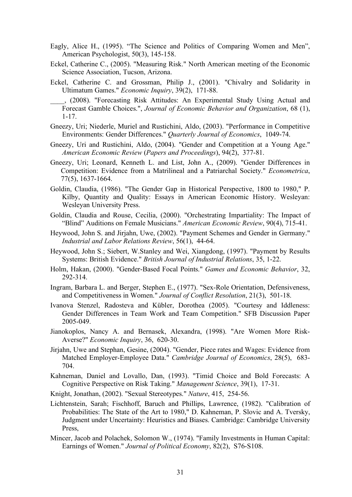- Eagly, Alice H., (1995). "The Science and Politics of Comparing Women and Men", American Psychologist, 50(3), 145-158.
- Eckel, Catherine C., (2005). "Measuring Risk." North American meeting of the Economic Science Association, Tucson, Arizona.
- Eckel, Catherine C. and Grossman, Philip J., (2001). "Chivalry and Solidarity in Ultimatum Games." *Economic Inquiry*, 39(2), 171-88.
- \_\_\_\_, (2008). "Forecasting Risk Attitudes: An Experimental Study Using Actual and Forecast Gamble Choices.", *Journal of Economic Behavior and Organization*, 68 (1), 1-17.
- Gneezy, Uri; Niederle, Muriel and Rustichini, Aldo, (2003). "Performance in Competitive Environments: Gender Differences." *Quarterly Journal of Economics*, 1049-74.
- Gneezy, Uri and Rustichini, Aldo, (2004). "Gender and Competition at a Young Age." *American Economic Review* (*Papers and Proceedings*), 94(2), 377-81.
- Gneezy, Uri; Leonard, Kenneth L. and List, John A., (2009). "Gender Differences in Competition: Evidence from a Matrilineal and a Patriarchal Society." *Econometrica*, 77(5), 1637-1664.
- Goldin, Claudia, (1986). "The Gender Gap in Historical Perspective, 1800 to 1980," P. Kilby, Quantity and Quality: Essays in American Economic History. Wesleyan: Wesleyan University Press.
- Goldin, Claudia and Rouse, Cecilia, (2000). "Orchestrating Impartiality: The Impact of "Blind" Auditions on Female Musicians." *American Economic Review*, 90(4), 715-41.
- Heywood, John S. and Jirjahn, Uwe, (2002). "Payment Schemes and Gender in Germany." *Industrial and Labor Relations Review*, 56(1), 44-64.
- Heywood, John S.; Siebert, W.Stanley and Wei, Xiangdong, (1997). "Payment by Results Systems: British Evidence." *British Journal of Industrial Relations*, 35, 1-22.
- Holm, Hakan, (2000). "Gender-Based Focal Points." *Games and Economic Behavior*, 32, 292-314.
- Ingram, Barbara L. and Berger, Stephen E., (1977). "Sex-Role Orientation, Defensiveness, and Competitiveness in Women." *Journal of Conflict Resolution*, 21(3), 501-18.
- Ivanova Stenzel, Radosteva and Kübler, Dorothea (2005). "Courtesy and Iddleness: Gender Differences in Team Work and Team Competition." SFB Discussion Paper 2005-049.
- Jianokoplos, Nancy A. and Bernasek, Alexandra, (1998). "Are Women More Risk-Averse?" *Economic Inquiry*, 36, 620-30.
- Jirjahn, Uwe and Stephan, Gesine, (2004). "Gender, Piece rates and Wages: Evidence from Matched Employer-Employee Data." *Cambridge Journal of Economics*, 28(5), 683- 704.
- Kahneman, Daniel and Lovallo, Dan, (1993). "Timid Choice and Bold Forecasts: A Cognitive Perspective on Risk Taking." *Management Science*, 39(1), 17-31.
- Knight, Jonathan, (2002). "Sexual Stereotypes." *Nature*, 415, 254-56.
- Lichtenstein, Sarah; Fischhoff, Baruch and Phillips, Lawrence, (1982). "Calibration of Probabilities: The State of the Art to 1980," D. Kahneman, P. Slovic and A. Tversky, Judgment under Uncertainty: Heuristics and Biases. Cambridge: Cambridge University Press,
- Mincer, Jacob and Polachek, Solomon W., (1974). "Family Investments in Human Capital: Earnings of Women." *Journal of Political Economy*, 82(2), S76-S108.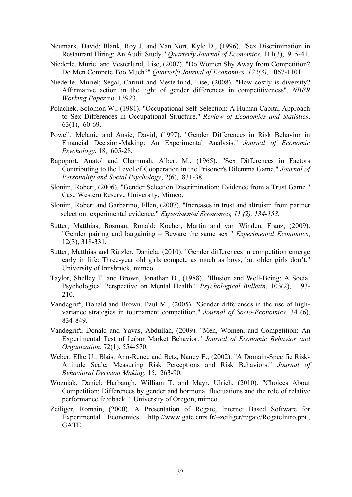- Neumark, David; Blank, Roy J. and Van Nort, Kyle D., (1996). "Sex Discrimination in Restaurant Hiring: An Audit Study." *Quarterly Journal of Economics*, 111(3), 915-41.
- Niederle, Muriel and Vesterlund, Lise, (2007). "Do Women Shy Away from Competition? Do Men Compete Too Much?" *Quarterly Journal of Economics, 122(3),* 1067-1101.
- Niederle, Muriel; Segal, Carmit and Vesterlund, Lise, (2008). "How costly is diversity? Affirmative action in the light of gender differences in competitiveness", *NBER Working Paper* no. 13923.
- Polachek, Solomon W., (1981). "Occupational Self-Selection: A Human Capital Approach to Sex Differences in Occupational Structure." *Review of Economics and Statistics*, 63(1), 60-69.
- Powell, Melanie and Ansic, David, (1997). "Gender Differences in Risk Behavior in Financial Decision-Making: An Experimental Analysis." *Journal of Economic Psychology*, 18, 605-28.
- Rapoport, Anatol and Chammah, Albert M., (1965). "Sex Differences in Factors Contributing to the Level of Cooperation in the Prisoner's Dilemma Game." *Journal of Personality and Social Psychology*, 2(6), 831-38.
- Slonim, Robert, (2006). "Gender Selection Discrimination: Evidence from a Trust Game." Case Western Reserve University, Mimeo.
- Slonim, Robert and Garbarino, Ellen, (2007). "Increases in trust and altruism from partner selection: experimental evidence." *Experimental Economics, 11 (2), 134-153.*
- Sutter, Matthias; Bosman, Ronald; Kocher, Martin and van Winden, Franz, (2009). "Gender pairing and bargaining – Beware the same sex!" *Experimental Economics*, 12(3), 318-331.
- Sutter, Matthias and Rützler, Daniela, (2010). "Gender differences in competition emerge early in life: Three-year old girls compete as much as boys, but older girls don't." University of Innsbruck, mimeo.
- Taylor, Shelley E. and Brown, Jonathan D., (1988). "Illusion and Well-Being: A Social Psychological Perspective on Mental Health." *Psychological Bulletin*, 103(2), 193- 210.
- Vandegrift, Donald and Brown, Paul M., (2005). "Gender differences in the use of highvariance strategies in tournament competition." *Journal of Socio-Economics*, 34 (6), 834-849.
- Vandegrift, Donald and Yavas, Abdullah, (2009). "Men, Women, and Competition: An Experimental Test of Labor Market Behavior." *Journal of Economic Behavior and Organization*, 72(1), 554-570.
- Weber, Elke U.; Blais, Ann-Renée and Betz, Nancy E., (2002). "A Domain-Specific Risk-Attitude Scale: Measuring Risk Perceptions and Risk Behaviors." *Journal of Behavioral Decision Making*, 15, 263-90.
- Wozniak, Daniel; Harbaugh, William T. and Mayr, Ulrich, (2010). "Choices About Competition: Differences by gender and hormonal fluctuations and the role of relative performance feedback." University of Oregon, mimeo.
- Zeiliger, Romain, (2000). A Presentation of Regate, Internet Based Software for Experimental Economics. http://www.gate.cnrs.fr/~zeiliger/regate/RegateIntro.ppt., GATE.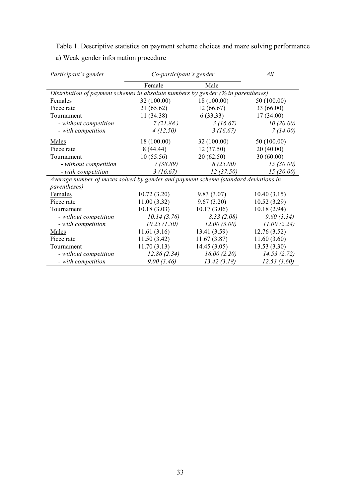| Table 1. Descriptive statistics on payment scheme choices and maze solving performance |  |
|----------------------------------------------------------------------------------------|--|
| a) Weak gender information procedure                                                   |  |

| Participant's gender                                                                | Co-participant's gender | All         |             |  |  |  |
|-------------------------------------------------------------------------------------|-------------------------|-------------|-------------|--|--|--|
|                                                                                     | Female                  | Male        |             |  |  |  |
| Distribution of payment schemes in absolute numbers by gender (% in parentheses)    |                         |             |             |  |  |  |
| Females                                                                             | 32(100.00)              | 18(100.00)  | 50 (100.00) |  |  |  |
| Piece rate                                                                          | 21 (65.62)              | 12(66.67)   | 33 (66.00)  |  |  |  |
| Tournament                                                                          | 11 (34.38)              | 6(33.33)    | 17(34.00)   |  |  |  |
| - without competition                                                               | 7(21.88)                | 3(16.67)    | 10(20.00)   |  |  |  |
| - with competition                                                                  | 4(12.50)                | 3(16.67)    | 7(14.00)    |  |  |  |
| <b>Males</b>                                                                        | 18 (100.00)             | 32(100.00)  | 50 (100.00) |  |  |  |
| Piece rate                                                                          | 8(44.44)                | 12(37.50)   | 20(40.00)   |  |  |  |
| Tournament                                                                          | 10(55.56)               | 20(62.50)   | 30(60.00)   |  |  |  |
| - without competition                                                               | 7(38.89)                | 8(25.00)    | 15(30.00)   |  |  |  |
| - with competition                                                                  | 3(16.67)                | 12(37.50)   | 15(30.00)   |  |  |  |
| Average number of mazes solved by gender and payment scheme (standard deviations in |                         |             |             |  |  |  |
| <i>parentheses</i> )                                                                |                         |             |             |  |  |  |
| Females                                                                             | 10.72(3.20)             | 9.83(3.07)  | 10.40(3.15) |  |  |  |
| Piece rate                                                                          | 11.00(3.32)             | 9.67(3.20)  | 10.52(3.29) |  |  |  |
| Tournament                                                                          | 10.18(3.03)             | 10.17(3.06) | 10.18(2.94) |  |  |  |
| - without competition                                                               | 10.14(3.76)             | 8.33(2.08)  | 9.60(3.34)  |  |  |  |
| - with competition                                                                  | 10.25(1.50)             | 12.00(3.00) | 11.00(2.24) |  |  |  |
| <b>Males</b>                                                                        | 11.61(3.16)             | 13.41(3.59) | 12.76(3.52) |  |  |  |
| Piece rate                                                                          | 11.50(3.42)             | 11.67(3.87) | 11.60(3.60) |  |  |  |
| Tournament                                                                          | 11.70(3.13)             | 14.45(3.05) | 13.53(3.30) |  |  |  |
| - without competition                                                               | 12.86(2.34)             | 16.00(2.20) | 14.53(2.72) |  |  |  |
| - with competition                                                                  | 9.00(3.46)              | 13.42(3.18) | 12.53(3.60) |  |  |  |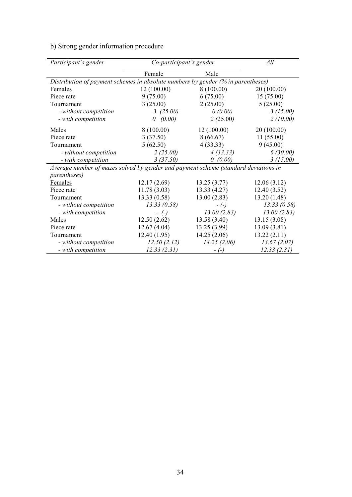|  |  |  |  |  | b) Strong gender information procedure |
|--|--|--|--|--|----------------------------------------|
|--|--|--|--|--|----------------------------------------|

| Participant's gender                                                                | Co-participant's gender | All          |             |  |
|-------------------------------------------------------------------------------------|-------------------------|--------------|-------------|--|
|                                                                                     | Female                  | Male         |             |  |
| Distribution of payment schemes in absolute numbers by gender (% in parentheses)    |                         |              |             |  |
| Females                                                                             | 12(100.00)              | 8(100.00)    | 20(100.00)  |  |
| Piece rate                                                                          | 9(75.00)                | 6(75.00)     | 15(75.00)   |  |
| Tournament                                                                          | 3(25.00)                | 2(25.00)     | 5(25.00)    |  |
| - without competition                                                               | 3(25.00)                | 0(0.00)      | 3(15.00)    |  |
| - with competition                                                                  | (0.00)<br>$\theta$      | 2(25.00)     | 2(10.00)    |  |
| <b>Males</b>                                                                        | 8(100.00)               | 12(100.00)   | 20(100.00)  |  |
| Piece rate                                                                          | 3(37.50)                | 8(66.67)     | 11(55.00)   |  |
| Tournament                                                                          | 5(62.50)                | 4(33.33)     | 9(45.00)    |  |
| - without competition                                                               | (25.00)                 | 4(33.33)     | 6(30.00)    |  |
| - with competition                                                                  | 3(37.50)                | 0(0.00)      | 3(15.00)    |  |
| Average number of mazes solved by gender and payment scheme (standard deviations in |                         |              |             |  |
| <i>parentheses</i> )                                                                |                         |              |             |  |
| Females                                                                             | 12.17(2.69)             | 13.25(3.77)  | 12.06(3.12) |  |
| Piece rate                                                                          | 11.78(3.03)             | 13.33(4.27)  | 12.40(3.52) |  |
| Tournament                                                                          | 13.33(0.58)             | 13.00(2.83)  | 13.20(1.48) |  |
| - without competition                                                               | 13.33(0.58)             | $-(-)$       | 13.33(0.58) |  |
| - with competition                                                                  | $-(-)$                  | 13.00(2.83)  | 13.00(2.83) |  |
| <b>Males</b>                                                                        | 12.50(2.62)             | 13.58 (3.40) | 13.15(3.08) |  |
| Piece rate                                                                          | 12.67(4.04)             | 13.25(3.99)  | 13.09(3.81) |  |
| Tournament                                                                          | 12.40(1.95)             | 14.25(2.06)  | 13.22(2.11) |  |
| - without competition                                                               | 12.50(2.12)             | 14.25(2.06)  | 13.67(2.07) |  |
| - with competition                                                                  | 12.33(2.31)             | - (-)        | 12.33(2.31) |  |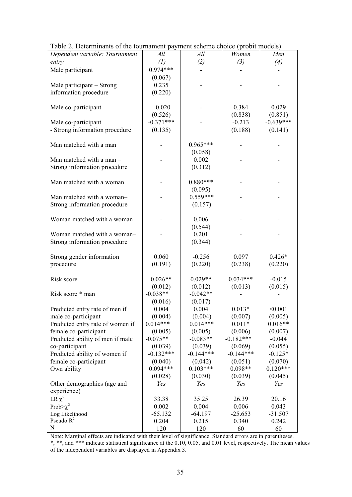| Dependent variable: Tournament   | All         | All         | Women       | Men         |
|----------------------------------|-------------|-------------|-------------|-------------|
| entry                            | (1)         | (2)         | (3)         | (4)         |
| Male participant                 | $0.974***$  |             |             |             |
|                                  | (0.067)     |             |             |             |
| Male participant - Strong        | 0.235       |             |             |             |
| information procedure            | (0.220)     |             |             |             |
|                                  |             |             |             |             |
| Male co-participant              | $-0.020$    |             | 0.384       | 0.029       |
|                                  | (0.526)     |             | (0.838)     | (0.851)     |
| Male co-participant              | $-0.371***$ |             | $-0.213$    | $-0.639***$ |
| - Strong information procedure   | (0.135)     |             | (0.188)     | (0.141)     |
|                                  |             |             |             |             |
| Man matched with a man           |             | $0.965***$  |             |             |
|                                  |             | (0.058)     |             |             |
| Man matched with a man -         |             | 0.002       |             |             |
| Strong information procedure     |             | (0.312)     |             |             |
|                                  |             |             |             |             |
| Man matched with a woman         |             | $0.880***$  |             |             |
|                                  |             | (0.095)     |             |             |
| Man matched with a woman-        |             | $0.559***$  |             |             |
| Strong information procedure     |             | (0.157)     |             |             |
|                                  |             |             |             |             |
| Woman matched with a woman       |             | 0.006       |             |             |
|                                  |             | (0.544)     |             |             |
| Woman matched with a woman-      |             | 0.201       |             |             |
| Strong information procedure     |             | (0.344)     |             |             |
|                                  |             |             |             |             |
| Strong gender information        | 0.060       | $-0.256$    | 0.097       | $0.426*$    |
| procedure                        | (0.191)     | (0.220)     | (0.238)     | (0.220)     |
|                                  |             |             |             |             |
| Risk score                       | $0.026**$   | $0.029**$   | $0.034***$  | $-0.015$    |
|                                  | (0.012)     | (0.012)     | (0.013)     | (0.015)     |
| Risk score * man                 | $-0.038**$  | $-0.042**$  |             |             |
|                                  | (0.016)     | (0.017)     |             |             |
| Predicted entry rate of men if   | 0.004       | 0.004       | $0.013*$    | < 0.001     |
| male co-participant              | (0.004)     | (0.004)     | (0.007)     | (0.005)     |
| Predicted entry rate of women if | $0.014***$  | $0.014***$  | $0.011*$    | $0.016**$   |
| female co-participant            | (0.005)     | (0.005)     | (0.006)     | (0.007)     |
| Predicted ability of men if male | $-0.075**$  | $-0.083**$  | $-0.182***$ | $-0.044$    |
| co-participant                   | (0.039)     | (0.039)     | (0.069)     | (0.055)     |
| Predicted ability of women if    | $-0.132***$ | $-0.144***$ | $-0.144***$ | $-0.125*$   |
| female co-participant            | (0.040)     | (0.042)     | (0.051)     | (0.070)     |
| Own ability                      | $0.094***$  | $0.103***$  | $0.098**$   | $0.120***$  |
|                                  | (0.028)     | (0.030)     | (0.039)     | (0.045)     |
| Other demographics (age and      | Yes         | Yes         | Yes         | Yes         |
| experience)                      |             |             |             |             |
| LR $\chi^2$                      | 33.38       | 35.25       | 26.39       | 20.16       |
| Prob $\approx^2$                 | 0.002       | 0.004       | 0.006       | 0.043       |
| Log Likelihood<br>Pseudo $R^2$   | $-65.132$   | $-64.197$   | $-25.653$   | $-31.507$   |
| ${\bf N}$                        | 0.204       | 0.215       | 0.340       | 0.242       |
|                                  | 120         | 120         | 60          | 60          |

Table 2. Determinants of the tournament payment scheme choice (probit models)

Note: Marginal effects are indicated with their level of significance. Standard errors are in parentheses. \*, \*\*, and \*\*\* indicate statistical significance at the 0.10, 0.05, and 0.01 level, respectively. The mean values

of the independent variables are displayed in Appendix 3.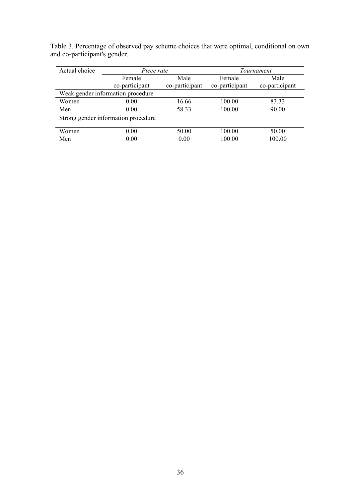| Actual choice | Piece rate                          |                | Tournament     |                |
|---------------|-------------------------------------|----------------|----------------|----------------|
|               | Female                              | Male           | Female         | Male           |
|               | co-participant                      | co-participant | co-participant | co-participant |
|               | Weak gender information procedure   |                |                |                |
| Women         | 0.00                                | 16.66          | 100.00         | 83.33          |
| Men           | 0.00                                | 58.33          | 100.00         | 90.00          |
|               | Strong gender information procedure |                |                |                |
| Women         | 0.00                                | 50.00          | 100.00         | 50.00          |
| Men           | 0.00                                | 0.00           | 100.00         | 100.00         |

Table 3. Percentage of observed pay scheme choices that were optimal, conditional on own and co-participant's gender.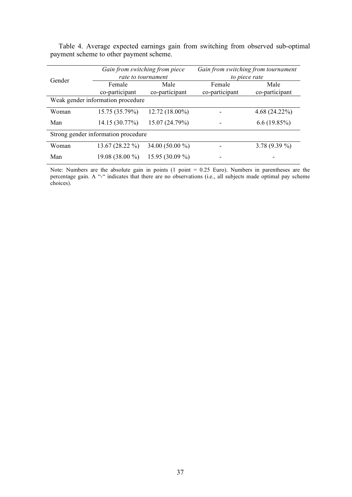|                                     | Gain from switching from piece |                 | Gain from switching from tournament |                  |  |
|-------------------------------------|--------------------------------|-----------------|-------------------------------------|------------------|--|
| Gender                              | rate to tournament             |                 | to piece rate                       |                  |  |
|                                     | Female                         | Male            |                                     | Male             |  |
|                                     | co-participant                 | co-participant  | co-participant                      | co-participant   |  |
| Weak gender information procedure   |                                |                 |                                     |                  |  |
| Woman                               | 15.75 (35.79%)                 | 12.72 (18.00%)  |                                     | 4.68 $(24.22\%)$ |  |
| Man                                 | 14.15 (30.77%)                 | 15.07 (24.79%)  |                                     | 6.6(19.85%)      |  |
| Strong gender information procedure |                                |                 |                                     |                  |  |
| Woman                               | $13.67(28.22\%)$               | 34.00 (50.00 %) |                                     | 3.78 $(9.39\%$   |  |
| Man                                 | 19.08 (38.00 %)                | 15.95 (30.09 %) |                                     |                  |  |

Table 4. Average expected earnings gain from switching from observed sub-optimal payment scheme to other payment scheme.

Note: Numbers are the absolute gain in points (1 point = 0.25 Euro). Numbers in parentheses are the percentage gain. A "-" indicates that there are no observations (i.e., all subjects made optimal pay scheme choices).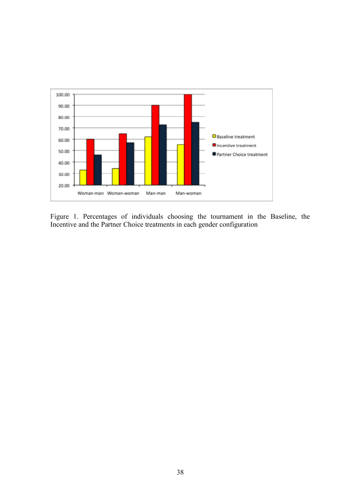

Figure 1. Percentages of individuals choosing the tournament in the Baseline, the Incentive and the Partner Choice treatments in each gender configuration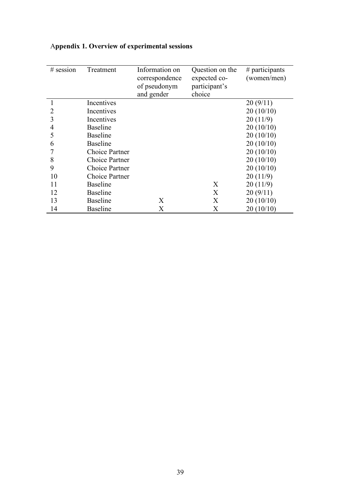| $#$ session | Treatment             | Information on<br>correspondence<br>of pseudonym<br>and gender | Question on the<br>expected co-<br>participant's<br>choice | # participants<br>(women/men) |
|-------------|-----------------------|----------------------------------------------------------------|------------------------------------------------------------|-------------------------------|
|             | Incentives            |                                                                |                                                            | 20(9/11)                      |
|             | Incentives            |                                                                |                                                            | 20(10/10)                     |
| 3           | Incentives            |                                                                |                                                            | 20(11/9)                      |
| 4           | <b>Baseline</b>       |                                                                |                                                            | 20(10/10)                     |
| 5           | <b>Baseline</b>       |                                                                |                                                            | 20(10/10)                     |
| 6           | <b>Baseline</b>       |                                                                |                                                            | 20(10/10)                     |
|             | Choice Partner        |                                                                |                                                            | 20(10/10)                     |
| 8           | <b>Choice Partner</b> |                                                                |                                                            | 20(10/10)                     |
| 9           | Choice Partner        |                                                                |                                                            | 20(10/10)                     |
| 10          | Choice Partner        |                                                                |                                                            | 20(11/9)                      |
| 11          | <b>Baseline</b>       |                                                                | X                                                          | 20(11/9)                      |
| 12          | <b>Baseline</b>       |                                                                | X                                                          | 20(9/11)                      |
| 13          | <b>Baseline</b>       | X                                                              | X                                                          | 20(10/10)                     |
| 14          | <b>Baseline</b>       | X                                                              | X                                                          | 20(10/10)                     |

# A**ppendix 1. Overview of experimental sessions**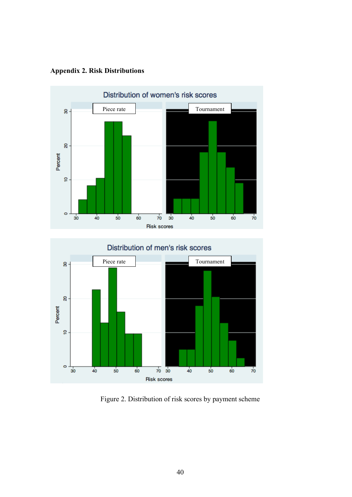

**Appendix 2. Risk Distributions**



Figure 2. Distribution of risk scores by payment scheme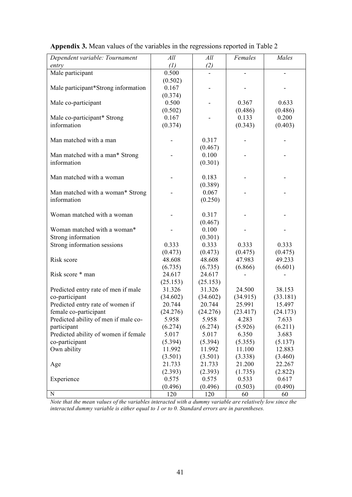| (1)<br>(2)<br>entry<br>Male participant<br>0.500<br>(0.502)<br>Male participant*Strong information<br>0.167 |  |
|-------------------------------------------------------------------------------------------------------------|--|
|                                                                                                             |  |
|                                                                                                             |  |
|                                                                                                             |  |
|                                                                                                             |  |
| (0.374)                                                                                                     |  |
| Male co-participant<br>0.500<br>0.367<br>0.633                                                              |  |
| (0.502)<br>(0.486)<br>(0.486)                                                                               |  |
| 0.133<br>0.200<br>Male co-participant* Strong<br>0.167                                                      |  |
| information<br>(0.374)<br>(0.343)<br>(0.403)                                                                |  |
|                                                                                                             |  |
| Man matched with a man<br>0.317                                                                             |  |
| (0.467)                                                                                                     |  |
| 0.100<br>Man matched with a man* Strong                                                                     |  |
| information<br>(0.301)                                                                                      |  |
|                                                                                                             |  |
| Man matched with a woman<br>0.183                                                                           |  |
| (0.389)                                                                                                     |  |
| 0.067<br>Man matched with a woman* Strong                                                                   |  |
| information<br>(0.250)                                                                                      |  |
|                                                                                                             |  |
| Woman matched with a woman<br>0.317                                                                         |  |
|                                                                                                             |  |
| (0.467)                                                                                                     |  |
| Woman matched with a woman*<br>0.100                                                                        |  |
| Strong information<br>(0.301)                                                                               |  |
| Strong information sessions<br>0.333<br>0.333<br>0.333<br>0.333                                             |  |
| (0.473)<br>(0.473)<br>(0.475)<br>(0.475)                                                                    |  |
| Risk score<br>48.608<br>48.608<br>47.983<br>49.233                                                          |  |
| (6.735)<br>(6.735)<br>(6.866)<br>(6.601)                                                                    |  |
| Risk score * man<br>24.617<br>24.617                                                                        |  |
| (25.153)<br>(25.153)                                                                                        |  |
| 31.326<br>31.326<br>Predicted entry rate of men if male<br>24.500<br>38.153                                 |  |
| co-participant<br>(34.602)<br>(34.602)<br>(34.915)<br>(33.181)                                              |  |
| Predicted entry rate of women if<br>20.744<br>20.744<br>25.991<br>15.497                                    |  |
| female co-participant<br>(24.276)<br>(24.276)<br>(23.417)<br>(24.173)                                       |  |
| Predicted ability of men if male co-<br>5.958<br>5.958<br>4.283<br>7.633                                    |  |
| participant<br>(6.274)<br>(6.274)<br>(5.926)<br>(6.211)                                                     |  |
| Predicted ability of women if female<br>5.017<br>5.017<br>6.350<br>3.683                                    |  |
| (5.394)<br>(5.394)<br>(5.355)<br>co-participant<br>(5.137)                                                  |  |
| 11.100<br>Own ability<br>11.992<br>11.992<br>12.883                                                         |  |
| (3.501)<br>(3.501)<br>(3.338)<br>(3.460)                                                                    |  |
| 21.733<br>21.733<br>21.200<br>22.267<br>Age                                                                 |  |
| (2.393)<br>(2.393)<br>(1.735)<br>(2.822)                                                                    |  |
| 0.575<br>0.575<br>0.533<br>Experience<br>0.617                                                              |  |
| (0.496)<br>(0.503)<br>(0.496)<br>(0.490)                                                                    |  |
| ${\bf N}$<br>120<br>120<br>60<br>60                                                                         |  |

## **Appendix 3.** Mean values of the variables in the regressions reported in Table 2

*Note that the mean values of the variables interacted with a dummy variable are relatively low since the interacted dummy variable is either equal to 1 or to 0. Standard errors are in parentheses.*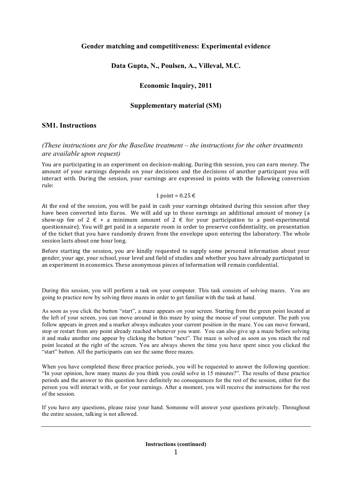## **Gender matching and competitiveness: Experimental evidence**

## **Data Gupta, N., Poulsen, A., Villeval, M.C.**

## **Economic Inquiry, 2011**

## **Supplementary material (SM)**

## **SM1. Instructions**

## *(These instructions are for the Baseline treatment – the instructions for the other treatments are available upon request)*

You are participating in an experiment on decision-making. During this session, you can earn money. The amount of your earnings depends on your decisions and the decisions of another participant you will interact with. During the session, your earnings are expressed in points with the following conversion rule:

#### 1 point =  $0.25 \notin$

At the end of the session, you will be paid in cash your earnings obtained during this session after they have been converted into Euros. We will add up to these earnings an additional amount of money (a" show-up fee of  $2 \in$  + a minimum amount of  $2 \in$  for your participation to a post-experimental questionnaire). You will get paid in a separate room in order to preserve confidentiality, on presentation of the ticket that you have randomly drawn from the envelope upon entering the laboratory. The whole session lasts about one hour long.

Before starting the session, you are kindly requested to supply some personal information about your gender, your age, your school, your level and field of studies and whether you have already participated in an experiment in economics. These anonymous pieces of information will remain confidential.

During this session, you will perform a task on your computer. This task consists of solving mazes. You are going to practice now by solving three mazes in order to get familiar with the task at hand.

As soon as you click the button "start", a maze appears on your screen. Starting from the green point located at the left of your screen, you can move around in this maze by using the mouse of your computer. The path you follow appears in green and a marker always indicates your current position in the maze. You can move forward, stop or restart from any point already reached whenever you want. You can also give up a maze before solving it and make another one appear by clicking the button "next". The maze is solved as soon as you reach the red point located at the right of the screen. You are always shown the time you have spent since you clicked the "start" button. All the participants can see the same three mazes.

When you have completed these three practice periods, you will be requested to answer the following question: "In your opinion, how many mazes do you think you could solve in 15 minutes?". The results of these practice periods and the answer to this question have definitely no consequences for the rest of the session, either for the person you will interact with, or for your earnings. After a moment, you will receive the instructions for the rest of the session.

If you have any questions, please raise your hand. Someone will answer your questions privately. Throughout the entire session, talking is not allowed.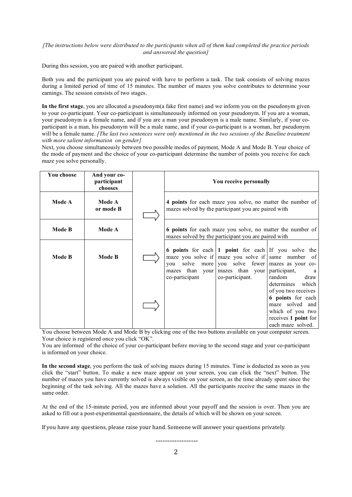#### *[The instructions below were distributed to the participants when all of them had completed the practice periods and answered the question]*

During this session, you are paired with another participant.

Both you and the participant you are paired with have to perform a task. The task consists of solving mazes during a limited period of time of 15 minutes. The number of mazes you solve contributes to determine your earnings. The session consists of two stages.

**In the first stage**, you are allocated a pseudonym(a fake first name) and we inform you on the pseudonym given to your co-participant. Your co-participant is simultaneously informed on your pseudonym. If you are a woman, your pseudonym is a female name, and if you are a man your pseudonym is a male name. Similarly, if your coparticipant is a man, his pseudonym will be a male name, and if your co-participant is a woman, her pseudonym will be a female name. *[The last two sentences were only mentioned in the two sessions of the Baseline treatment with more salient information on gender]*

Next, you choose simultaneously between two possible modes of payment, Mode A and Mode B. Your choice of the mode of payment and the choice of your co-participant determine the number of points you receive for each maze you solve personally.

| You choose    | And your co-<br>participant<br>chooses |                        | You receive personally                                                       |                                                                                                                                                                       |
|---------------|----------------------------------------|------------------------|------------------------------------------------------------------------------|-----------------------------------------------------------------------------------------------------------------------------------------------------------------------|
| Mode A        | Mode A<br>or mode B                    |                        | mazes solved by the participant you are paired with                          | 4 points for each maze you solve, no matter the number of                                                                                                             |
| Mode B        | Mode A                                 |                        | mazes solved by the participant you are paired with                          | 6 points for each maze you solve, no matter the number of                                                                                                             |
| <b>Mode B</b> | <b>Mode B</b>                          | vou<br>mazes than your | solve more you solve fewer mazes as your co-<br>mazes than your participant, | 6 points for each $\vert 1$ point for each If you solve the<br>maze you solve if maze you solve if same number of<br>a                                                |
|               |                                        | co-participant         | co-participant.                                                              | random<br>draw<br>determines<br>which<br>of you two receives<br>6 points for each<br>maze solved and<br>which of you two<br>receives 1 point for<br>each maze solved. |

You choose between Mode A and Mode B by clicking one of the two buttons available on your computer screen. Your choice is registered once you click "OK".

You are informed of the choice of your co-participant before moving to the second stage and your co-participant is informed on your choice.

**In the second stage**, you perform the task of solving mazes during 15 minutes. Time is deducted as soon as you click the "start" button. To make a new maze appear on your screen, you can click the "next" button. The number of mazes you have currently solved is always visible on your screen, as the time already spent since the beginning of the task solving. All the mazes have a solution. All the participants receive the same mazes in the same order.

At the end of the 15-minute period, you are informed about your payoff and the session is over. Then you are asked to fill out a post-experimental questionnaire, the details of which will be shown on your screen.

If you have any questions, please raise your hand. Someone will answer your questions privately.

2 ------------------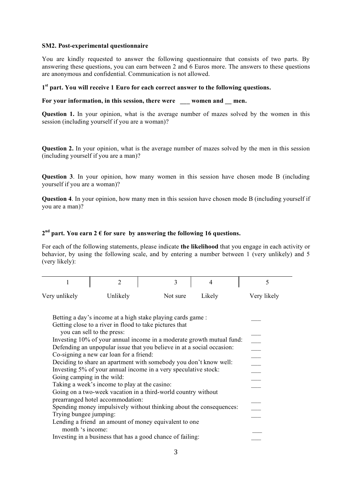#### **SM2. Post-experimental questionnaire**

You are kindly requested to answer the following questionnaire that consists of two parts. By answering these questions, you can earn between 2 and 6 Euros more. The answers to these questions are anonymous and confidential. Communication is not allowed.

### **1st part. You will receive 1 Euro for each correct answer to the following questions.**

For your information, in this session, there were women and men.

**Question 1.** In your opinion, what is the average number of mazes solved by the women in this session (including yourself if you are a woman)?

**Question 2.** In your opinion, what is the average number of mazes solved by the men in this session (including yourself if you are a man)?

**Question 3**. In your opinion, how many women in this session have chosen mode B (including yourself if you are a woman)?

**Question 4.** In your opinion, how many men in this session have chosen mode B (including yourself if you are a man)?

## $2^{nd}$  part. You earn  $2 \in$  for sure by answering the following 16 questions.

For each of the following statements, please indicate **the likelihood** that you engage in each activity or behavior, by using the following scale, and by entering a number between 1 (very unlikely) and 5 (very likely):

|                                                                                                                                                                                                                                                                                                                                    | $\overline{2}$             | 3                                                                                                                     | 4      | 5           |
|------------------------------------------------------------------------------------------------------------------------------------------------------------------------------------------------------------------------------------------------------------------------------------------------------------------------------------|----------------------------|-----------------------------------------------------------------------------------------------------------------------|--------|-------------|
| Very unlikely                                                                                                                                                                                                                                                                                                                      | Unlikely                   | Not sure                                                                                                              | Likely | Very likely |
|                                                                                                                                                                                                                                                                                                                                    | you can sell to the press: | Betting a day's income at a high stake playing cards game:<br>Getting close to a river in flood to take pictures that |        |             |
| Investing 10% of your annual income in a moderate growth mutual fund:<br>Defending an unpopular issue that you believe in at a social occasion:<br>Co-signing a new car loan for a friend:<br>Deciding to share an apartment with somebody you don't know well:<br>Investing 5% of your annual income in a very speculative stock: | $\overline{a}$             |                                                                                                                       |        |             |
| Going camping in the wild:<br>Taking a week's income to play at the casino:<br>Going on a two-week vacation in a third-world country without<br>prearranged hotel accommodation:                                                                                                                                                   |                            |                                                                                                                       |        |             |
| Spending money impulsively without thinking about the consequences:<br>Trying bungee jumping:<br>Lending a friend an amount of money equivalent to one<br>month 's income:                                                                                                                                                         |                            |                                                                                                                       |        |             |
|                                                                                                                                                                                                                                                                                                                                    |                            | Investing in a business that has a good chance of failing:                                                            |        |             |